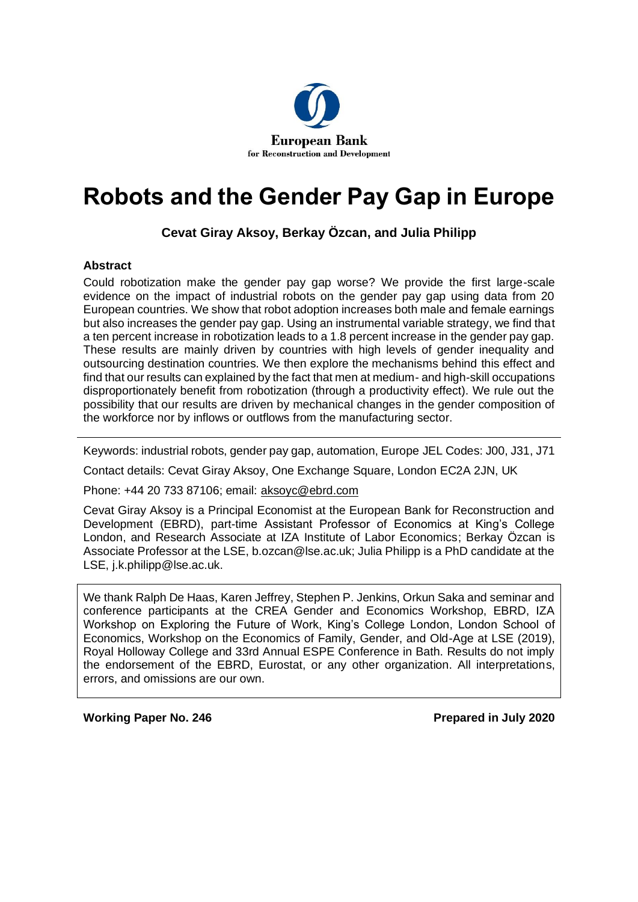

# **Robots and the Gender Pay Gap in Europe**

### **Cevat Giray Aksoy, Berkay Özcan, and Julia Philipp**

#### **Abstract**

Could robotization make the gender pay gap worse? We provide the first large-scale evidence on the impact of industrial robots on the gender pay gap using data from 20 European countries. We show that robot adoption increases both male and female earnings but also increases the gender pay gap. Using an instrumental variable strategy, we find that a ten percent increase in robotization leads to a 1.8 percent increase in the gender pay gap. These results are mainly driven by countries with high levels of gender inequality and outsourcing destination countries. We then explore the mechanisms behind this effect and find that our results can EHexplained by the fact that men at medium- and high-skill occupations disproportionately benefit from robotization (through a productivity effect). We rule out the possibility that our results are driven by mechanical changes in the gender composition of the workforce nor by inflows or outflows from the manufacturing sector.

Keywords: industrial robots, gender pay gap, automation, Europe JEL Codes: J00, J31, J71

Contact details: Cevat Giray Aksoy, One Exchange Square, London EC2A 2JN, UK

Phone: +44 20 733 87106; email: [aksoyc@ebrd.com](mailto:aksoyc@ebrd.com)

Cevat Giray Aksoy is a Principal Economist at the European Bank for Reconstruction and Development (EBRD), part-time Assistant Professor of Economics at King's College London, and Research Associate at IZA Institute of Labor Economics; Berkay Özcan is Associate Professor at the LSE, b.ozcan@lse.ac.uk; Julia Philipp is a PhD candidate at the LSE, j.k.philipp@lse.ac.uk.

We thank Ralph De Haas, Karen Jeffrey, Stephen P. Jenkins, Orkun Saka and seminar and conference participants at the CREA Gender and Economics Workshop, EBRD, IZA Workshop on Exploring the Future of Work, King's College London, London School of Economics, Workshop on the Economics of Family, Gender, and Old-Age at LSE (2019), Royal Holloway College and 33rd Annual ESPE Conference in Bath. Results do not imply the endorsement of the EBRD, Eurostat, or any other organization. All interpretations, errors, and omissions are our own.

**Working Paper No. 246 Prepared in July 2020**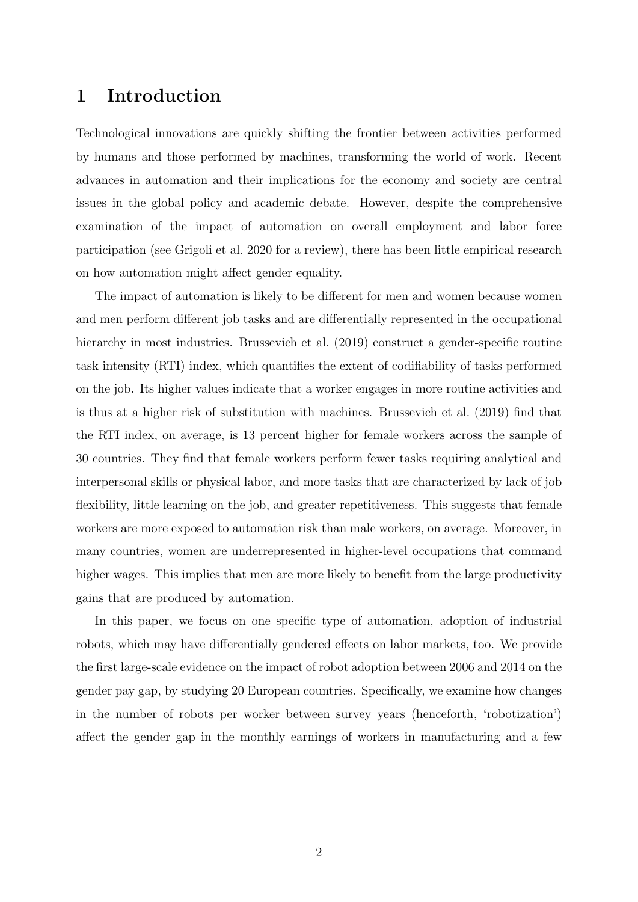### 1 Introduction

Technological innovations are quickly shifting the frontier between activities performed by humans and those performed by machines, transforming the world of work. Recent advances in automation and their implications for the economy and society are central issues in the global policy and academic debate. However, despite the comprehensive examination of the impact of automation on overall employment and labor force participation (see Grigoli et al. 2020 for a review), there has been little empirical research on how automation might affect gender equality.

The impact of automation is likely to be different for men and women because women and men perform different job tasks and are differentially represented in the occupational hierarchy in most industries. Brussevich et al. (2019) construct a gender-specific routine task intensity (RTI) index, which quantifies the extent of codifiability of tasks performed on the job. Its higher values indicate that a worker engages in more routine activities and is thus at a higher risk of substitution with machines. Brussevich et al. (2019) find that the RTI index, on average, is 13 percent higher for female workers across the sample of 30 countries. They find that female workers perform fewer tasks requiring analytical and interpersonal skills or physical labor, and more tasks that are characterized by lack of job flexibility, little learning on the job, and greater repetitiveness. This suggests that female workers are more exposed to automation risk than male workers, on average. Moreover, in many countries, women are underrepresented in higher-level occupations that command higher wages. This implies that men are more likely to benefit from the large productivity gains that are produced by automation.

In this paper, we focus on one specific type of automation, adoption of industrial robots, which may have differentially gendered effects on labor markets, too. We provide the first large-scale evidence on the impact of robot adoption between 2006 and 2014 on the gender pay gap, by studying 20 European countries. Specifically, we examine how changes in the number of robots per worker between survey years (henceforth, 'robotization') affect the gender gap in the monthly earnings of workers in manufacturing and a few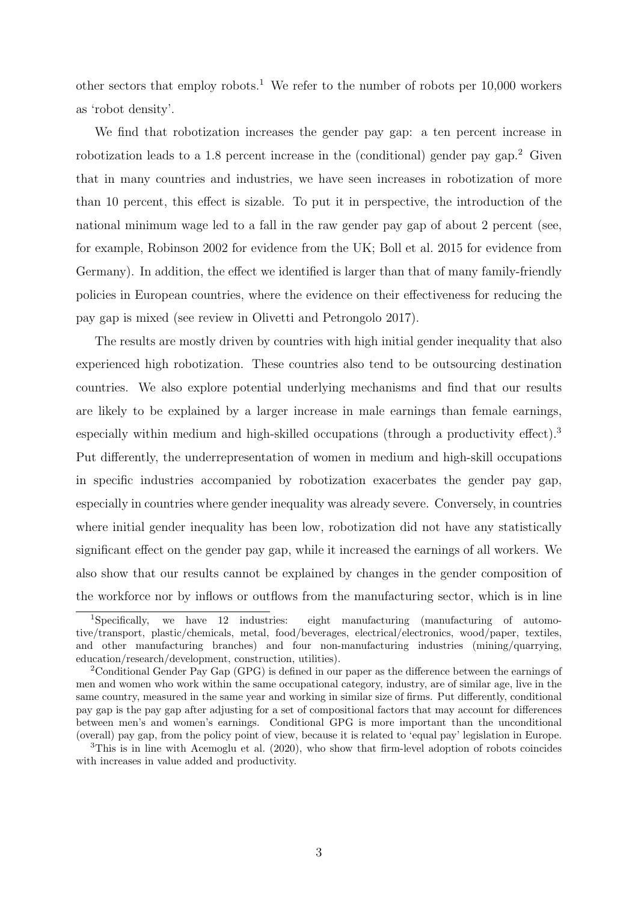other sectors that employ robots.<sup>1</sup> We refer to the number of robots per  $10,000$  workers as 'robot density'.

We find that robotization increases the gender pay gap: a ten percent increase in robotization leads to a 1.8 percent increase in the (conditional) gender pay gap.<sup>2</sup> Given that in many countries and industries, we have seen increases in robotization of more than 10 percent, this effect is sizable. To put it in perspective, the introduction of the national minimum wage led to a fall in the raw gender pay gap of about 2 percent (see, for example, Robinson 2002 for evidence from the UK; Boll et al. 2015 for evidence from Germany). In addition, the effect we identified is larger than that of many family-friendly policies in European countries, where the evidence on their effectiveness for reducing the pay gap is mixed (see review in Olivetti and Petrongolo 2017).

The results are mostly driven by countries with high initial gender inequality that also experienced high robotization. These countries also tend to be outsourcing destination countries. We also explore potential underlying mechanisms and find that our results are likely to be explained by a larger increase in male earnings than female earnings, especially within medium and high-skilled occupations (through a productivity effect).<sup>3</sup> Put differently, the underrepresentation of women in medium and high-skill occupations in specific industries accompanied by robotization exacerbates the gender pay gap, especially in countries where gender inequality was already severe. Conversely, in countries where initial gender inequality has been low, robotization did not have any statistically significant effect on the gender pay gap, while it increased the earnings of all workers. We also show that our results cannot be explained by changes in the gender composition of the workforce nor by inflows or outflows from the manufacturing sector, which is in line

<sup>&</sup>lt;sup>1</sup>Specifically, we have 12 industries: eight manufacturing (manufacturing of automotive/transport, plastic/chemicals, metal, food/beverages, electrical/electronics, wood/paper, textiles, and other manufacturing branches) and four non-manufacturing industries (mining/quarrying, education/research/development, construction, utilities).

<sup>2</sup>Conditional Gender Pay Gap (GPG) is defined in our paper as the difference between the earnings of men and women who work within the same occupational category, industry, are of similar age, live in the same country, measured in the same year and working in similar size of firms. Put differently, conditional pay gap is the pay gap after adjusting for a set of compositional factors that may account for differences between men's and women's earnings. Conditional GPG is more important than the unconditional (overall) pay gap, from the policy point of view, because it is related to 'equal pay' legislation in Europe.

<sup>&</sup>lt;sup>3</sup>This is in line with Acemoglu et al. (2020), who show that firm-level adoption of robots coincides with increases in value added and productivity.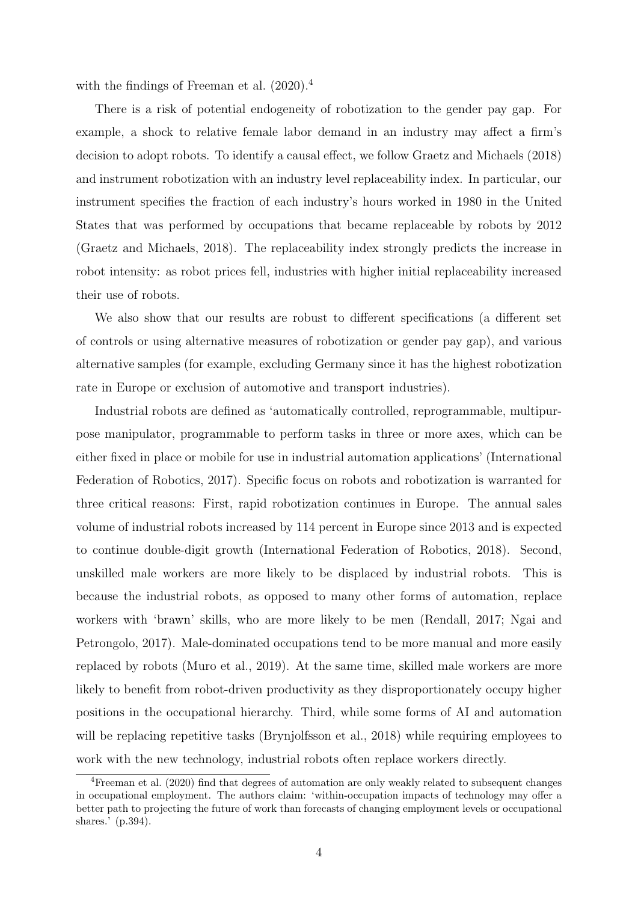with the findings of Freeman et al.  $(2020)^4$ 

There is a risk of potential endogeneity of robotization to the gender pay gap. For example, a shock to relative female labor demand in an industry may affect a firm's decision to adopt robots. To identify a causal effect, we follow Graetz and Michaels (2018) and instrument robotization with an industry level replaceability index. In particular, our instrument specifies the fraction of each industry's hours worked in 1980 in the United States that was performed by occupations that became replaceable by robots by 2012 (Graetz and Michaels, 2018). The replaceability index strongly predicts the increase in robot intensity: as robot prices fell, industries with higher initial replaceability increased their use of robots.

We also show that our results are robust to different specifications (a different set of controls or using alternative measures of robotization or gender pay gap), and various alternative samples (for example, excluding Germany since it has the highest robotization rate in Europe or exclusion of automotive and transport industries).

Industrial robots are defined as 'automatically controlled, reprogrammable, multipurpose manipulator, programmable to perform tasks in three or more axes, which can be either fixed in place or mobile for use in industrial automation applications' (International Federation of Robotics, 2017). Specific focus on robots and robotization is warranted for three critical reasons: First, rapid robotization continues in Europe. The annual sales volume of industrial robots increased by 114 percent in Europe since 2013 and is expected to continue double-digit growth (International Federation of Robotics, 2018). Second, unskilled male workers are more likely to be displaced by industrial robots. This is because the industrial robots, as opposed to many other forms of automation, replace workers with 'brawn' skills, who are more likely to be men (Rendall, 2017; Ngai and Petrongolo, 2017). Male-dominated occupations tend to be more manual and more easily replaced by robots (Muro et al., 2019). At the same time, skilled male workers are more likely to benefit from robot-driven productivity as they disproportionately occupy higher positions in the occupational hierarchy. Third, while some forms of AI and automation will be replacing repetitive tasks (Brynjolfsson et al., 2018) while requiring employees to work with the new technology, industrial robots often replace workers directly.

<sup>&</sup>lt;sup>4</sup>Freeman et al. (2020) find that degrees of automation are only weakly related to subsequent changes in occupational employment. The authors claim: 'within-occupation impacts of technology may offer a better path to projecting the future of work than forecasts of changing employment levels or occupational shares.' (p.394).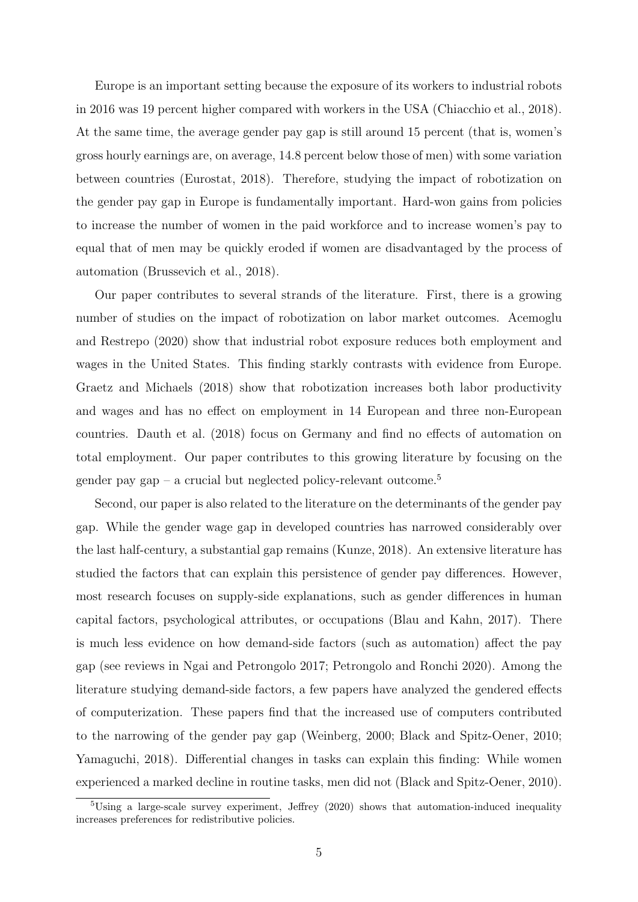Europe is an important setting because the exposure of its workers to industrial robots in 2016 was 19 percent higher compared with workers in the USA (Chiacchio et al., 2018). At the same time, the average gender pay gap is still around 15 percent (that is, women's gross hourly earnings are, on average, 14.8 percent below those of men) with some variation between countries (Eurostat, 2018). Therefore, studying the impact of robotization on the gender pay gap in Europe is fundamentally important. Hard-won gains from policies to increase the number of women in the paid workforce and to increase women's pay to equal that of men may be quickly eroded if women are disadvantaged by the process of automation (Brussevich et al., 2018).

Our paper contributes to several strands of the literature. First, there is a growing number of studies on the impact of robotization on labor market outcomes. Acemoglu and Restrepo (2020) show that industrial robot exposure reduces both employment and wages in the United States. This finding starkly contrasts with evidence from Europe. Graetz and Michaels (2018) show that robotization increases both labor productivity and wages and has no effect on employment in 14 European and three non-European countries. Dauth et al. (2018) focus on Germany and find no effects of automation on total employment. Our paper contributes to this growing literature by focusing on the gender pay gap – a crucial but neglected policy-relevant outcome.<sup>5</sup>

Second, our paper is also related to the literature on the determinants of the gender pay gap. While the gender wage gap in developed countries has narrowed considerably over the last half-century, a substantial gap remains (Kunze, 2018). An extensive literature has studied the factors that can explain this persistence of gender pay differences. However, most research focuses on supply-side explanations, such as gender differences in human capital factors, psychological attributes, or occupations (Blau and Kahn, 2017). There is much less evidence on how demand-side factors (such as automation) affect the pay gap (see reviews in Ngai and Petrongolo 2017; Petrongolo and Ronchi 2020). Among the literature studying demand-side factors, a few papers have analyzed the gendered effects of computerization. These papers find that the increased use of computers contributed to the narrowing of the gender pay gap (Weinberg, 2000; Black and Spitz-Oener, 2010; Yamaguchi, 2018). Differential changes in tasks can explain this finding: While women experienced a marked decline in routine tasks, men did not (Black and Spitz-Oener, 2010).

 $5\text{Using a large-scale survey experiment, Jeffrey (2020) shows that automation-induced inequality}$ increases preferences for redistributive policies.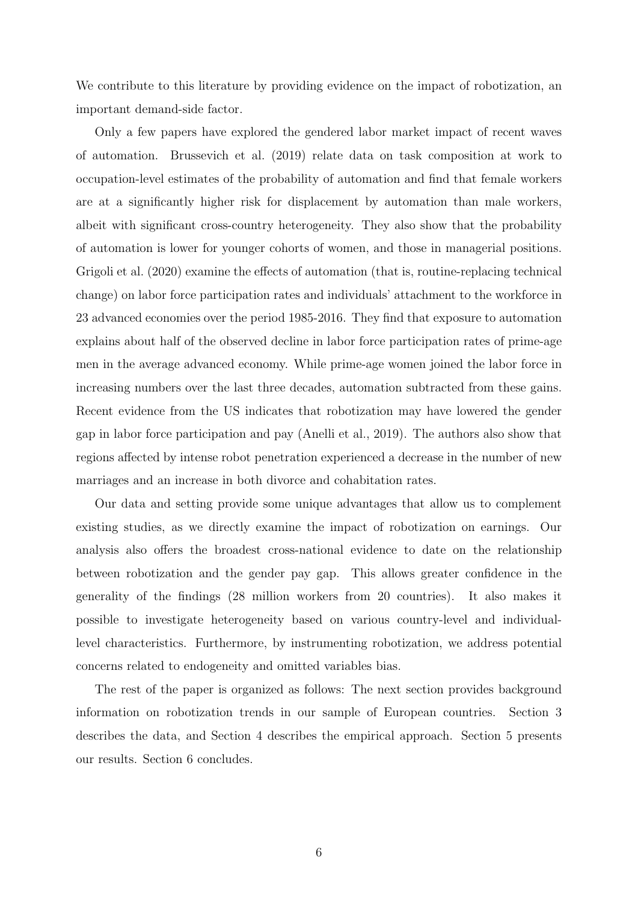We contribute to this literature by providing evidence on the impact of robotization, an important demand-side factor.

Only a few papers have explored the gendered labor market impact of recent waves of automation. Brussevich et al. (2019) relate data on task composition at work to occupation-level estimates of the probability of automation and find that female workers are at a significantly higher risk for displacement by automation than male workers, albeit with significant cross-country heterogeneity. They also show that the probability of automation is lower for younger cohorts of women, and those in managerial positions. Grigoli et al. (2020) examine the effects of automation (that is, routine-replacing technical change) on labor force participation rates and individuals' attachment to the workforce in 23 advanced economies over the period 1985-2016. They find that exposure to automation explains about half of the observed decline in labor force participation rates of prime-age men in the average advanced economy. While prime-age women joined the labor force in increasing numbers over the last three decades, automation subtracted from these gains. Recent evidence from the US indicates that robotization may have lowered the gender gap in labor force participation and pay (Anelli et al., 2019). The authors also show that regions affected by intense robot penetration experienced a decrease in the number of new marriages and an increase in both divorce and cohabitation rates.

Our data and setting provide some unique advantages that allow us to complement existing studies, as we directly examine the impact of robotization on earnings. Our analysis also offers the broadest cross-national evidence to date on the relationship between robotization and the gender pay gap. This allows greater confidence in the generality of the findings (28 million workers from 20 countries). It also makes it possible to investigate heterogeneity based on various country-level and individuallevel characteristics. Furthermore, by instrumenting robotization, we address potential concerns related to endogeneity and omitted variables bias.

The rest of the paper is organized as follows: The next section provides background information on robotization trends in our sample of European countries. Section 3 describes the data, and Section 4 describes the empirical approach. Section 5 presents our results. Section 6 concludes.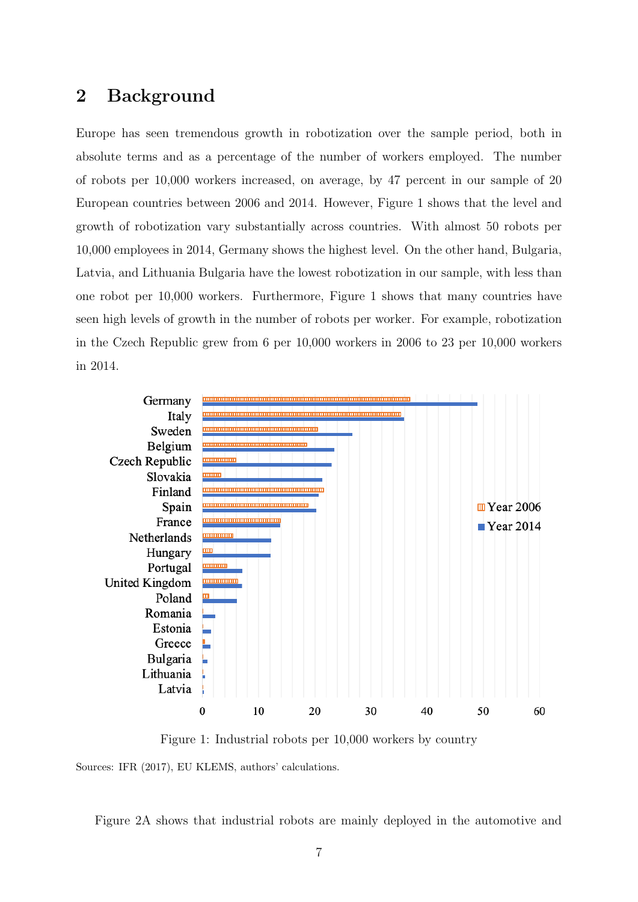### 2 Background

Europe has seen tremendous growth in robotization over the sample period, both in absolute terms and as a percentage of the number of workers employed. The number of robots per 10,000 workers increased, on average, by 47 percent in our sample of 20 European countries between 2006 and 2014. However, Figure 1 shows that the level and growth of robotization vary substantially across countries. With almost 50 robots per 10,000 employees in 2014, Germany shows the highest level. On the other hand, Bulgaria, Latvia, and Lithuania Bulgaria have the lowest robotization in our sample, with less than one robot per 10,000 workers. Furthermore, Figure 1 shows that many countries have seen high levels of growth in the number of robots per worker. For example, robotization in the Czech Republic grew from 6 per 10,000 workers in 2006 to 23 per 10,000 workers in 2014.



Figure 1: Industrial robots per 10,000 workers by country

Sources: IFR (2017), EU KLEMS, authors' calculations.

Figure 2A shows that industrial robots are mainly deployed in the automotive and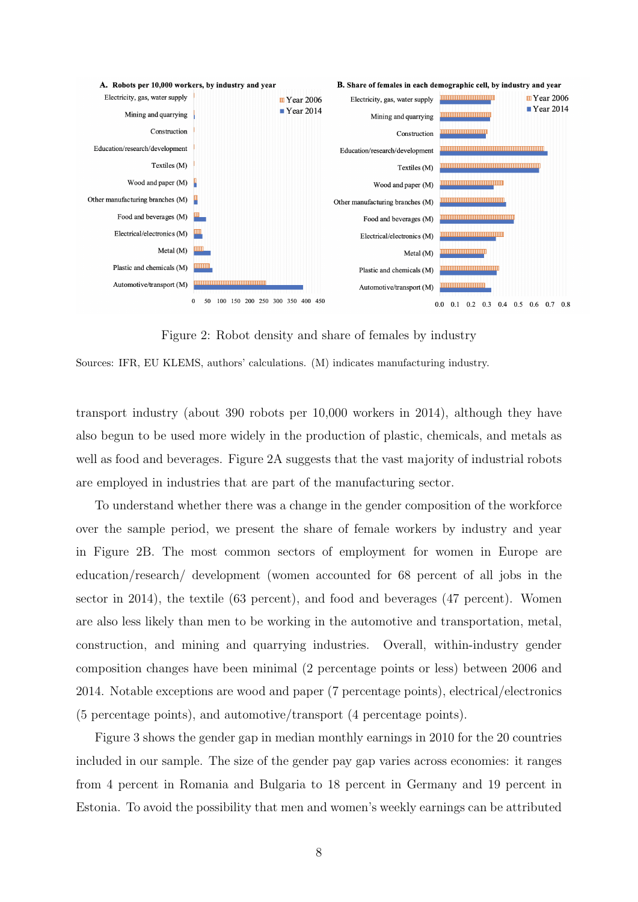

Figure 2: Robot density and share of females by industry

Sources: IFR, EU KLEMS, authors' calculations. (M) indicates manufacturing industry.

transport industry (about 390 robots per 10,000 workers in 2014), although they have also begun to be used more widely in the production of plastic, chemicals, and metals as well as food and beverages. Figure 2A suggests that the vast majority of industrial robots are employed in industries that are part of the manufacturing sector.

To understand whether there was a change in the gender composition of the workforce over the sample period, we present the share of female workers by industry and year in Figure 2B. The most common sectors of employment for women in Europe are education/research/ development (women accounted for 68 percent of all jobs in the sector in 2014), the textile (63 percent), and food and beverages (47 percent). Women are also less likely than men to be working in the automotive and transportation, metal, construction, and mining and quarrying industries. Overall, within-industry gender composition changes have been minimal (2 percentage points or less) between 2006 and 2014. Notable exceptions are wood and paper (7 percentage points), electrical/electronics (5 percentage points), and automotive/transport (4 percentage points).

Figure 3 shows the gender gap in median monthly earnings in 2010 for the 20 countries included in our sample. The size of the gender pay gap varies across economies: it ranges from 4 percent in Romania and Bulgaria to 18 percent in Germany and 19 percent in Estonia. To avoid the possibility that men and women's weekly earnings can be attributed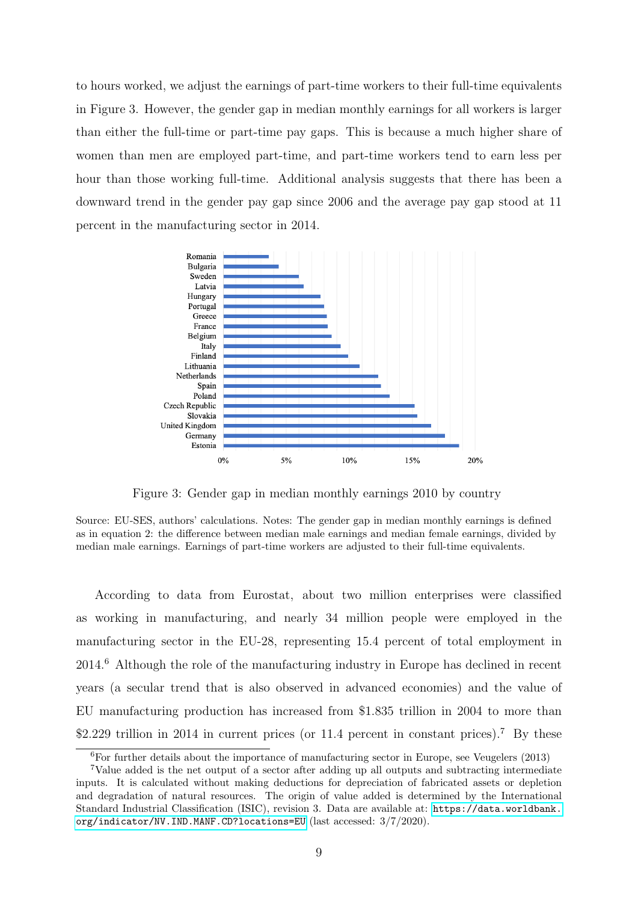to hours worked, we adjust the earnings of part-time workers to their full-time equivalents in Figure 3. However, the gender gap in median monthly earnings for all workers is larger than either the full-time or part-time pay gaps. This is because a much higher share of women than men are employed part-time, and part-time workers tend to earn less per hour than those working full-time. Additional analysis suggests that there has been a downward trend in the gender pay gap since 2006 and the average pay gap stood at 11 percent in the manufacturing sector in 2014.



Figure 3: Gender gap in median monthly earnings 2010 by country

Source: EU-SES, authors' calculations. Notes: The gender gap in median monthly earnings is defined as in equation 2: the difference between median male earnings and median female earnings, divided by median male earnings. Earnings of part-time workers are adjusted to their full-time equivalents.

According to data from Eurostat, about two million enterprises were classified as working in manufacturing, and nearly 34 million people were employed in the manufacturing sector in the EU-28, representing 15.4 percent of total employment in 2014.<sup>6</sup> Although the role of the manufacturing industry in Europe has declined in recent years (a secular trend that is also observed in advanced economies) and the value of EU manufacturing production has increased from \$1.835 trillion in 2004 to more than \$2.229 trillion in 2014 in current prices (or 11.4 percent in constant prices).<sup>7</sup> By these

 $6$ For further details about the importance of manufacturing sector in Europe, see Veugelers (2013)

<sup>7</sup>Value added is the net output of a sector after adding up all outputs and subtracting intermediate inputs. It is calculated without making deductions for depreciation of fabricated assets or depletion and degradation of natural resources. The origin of value added is determined by the International Standard Industrial Classification (ISIC), revision 3. Data are available at: [https://data.worldbank.](https://data.worldbank.org/indicator/NV.IND.MANF.CD?locations=EU) [org/indicator/NV.IND.MANF.CD?locations=EU](https://data.worldbank.org/indicator/NV.IND.MANF.CD?locations=EU) (last accessed: 3/7/2020).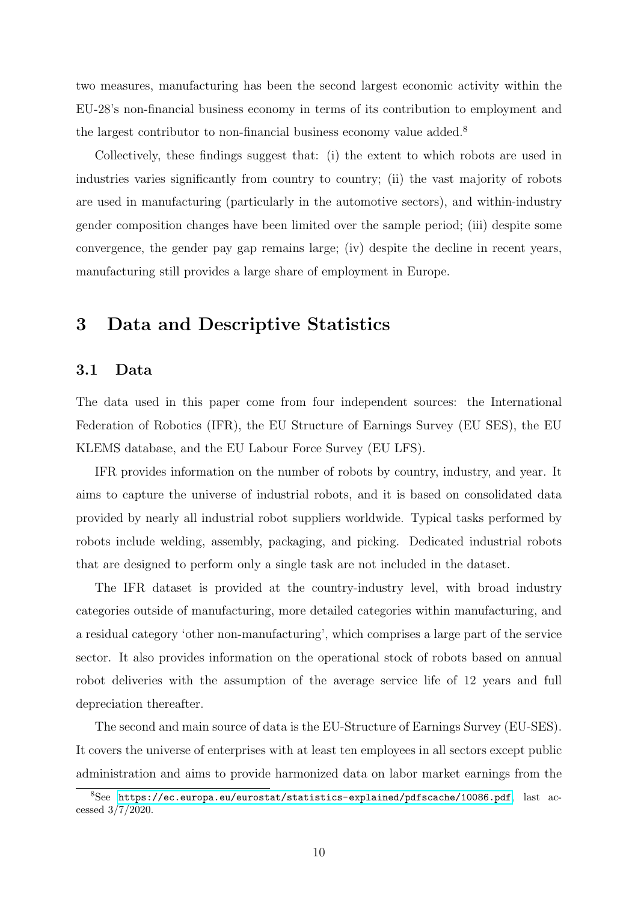two measures, manufacturing has been the second largest economic activity within the EU-28's non-financial business economy in terms of its contribution to employment and the largest contributor to non-financial business economy value added.<sup>8</sup>

Collectively, these findings suggest that: (i) the extent to which robots are used in industries varies significantly from country to country; (ii) the vast majority of robots are used in manufacturing (particularly in the automotive sectors), and within-industry gender composition changes have been limited over the sample period; (iii) despite some convergence, the gender pay gap remains large; (iv) despite the decline in recent years, manufacturing still provides a large share of employment in Europe.

### 3 Data and Descriptive Statistics

#### 3.1 Data

The data used in this paper come from four independent sources: the International Federation of Robotics (IFR), the EU Structure of Earnings Survey (EU SES), the EU KLEMS database, and the EU Labour Force Survey (EU LFS).

IFR provides information on the number of robots by country, industry, and year. It aims to capture the universe of industrial robots, and it is based on consolidated data provided by nearly all industrial robot suppliers worldwide. Typical tasks performed by robots include welding, assembly, packaging, and picking. Dedicated industrial robots that are designed to perform only a single task are not included in the dataset.

The IFR dataset is provided at the country-industry level, with broad industry categories outside of manufacturing, more detailed categories within manufacturing, and a residual category 'other non-manufacturing', which comprises a large part of the service sector. It also provides information on the operational stock of robots based on annual robot deliveries with the assumption of the average service life of 12 years and full depreciation thereafter.

The second and main source of data is the EU-Structure of Earnings Survey (EU-SES). It covers the universe of enterprises with at least ten employees in all sectors except public administration and aims to provide harmonized data on labor market earnings from the

 $8$ See <https://ec.europa.eu/eurostat/statistics-explained/pdfscache/10086.pdf>, last accessed 3/7/2020.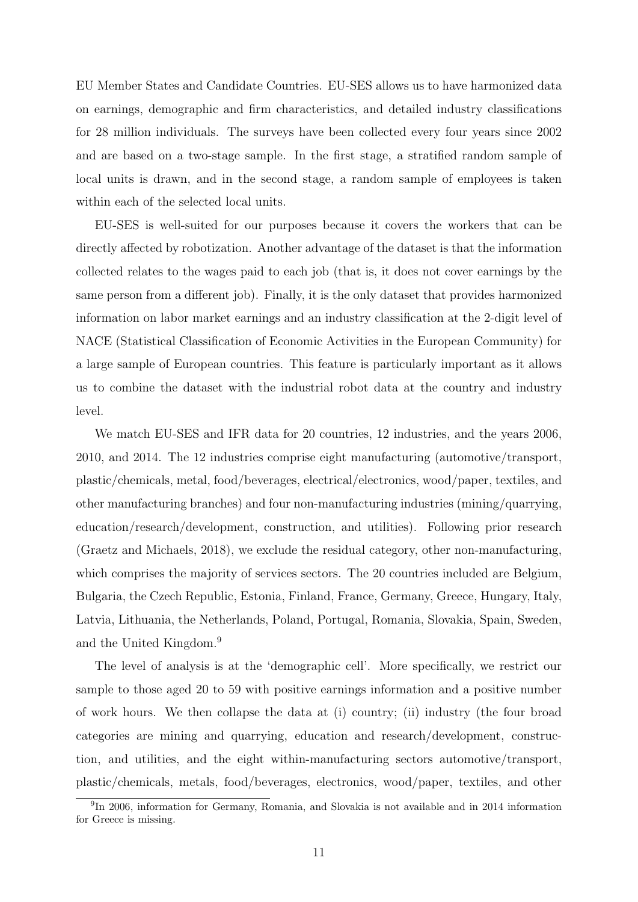EU Member States and Candidate Countries. EU-SES allows us to have harmonized data on earnings, demographic and firm characteristics, and detailed industry classifications for 28 million individuals. The surveys have been collected every four years since 2002 and are based on a two-stage sample. In the first stage, a stratified random sample of local units is drawn, and in the second stage, a random sample of employees is taken within each of the selected local units.

EU-SES is well-suited for our purposes because it covers the workers that can be directly affected by robotization. Another advantage of the dataset is that the information collected relates to the wages paid to each job (that is, it does not cover earnings by the same person from a different job). Finally, it is the only dataset that provides harmonized information on labor market earnings and an industry classification at the 2-digit level of NACE (Statistical Classification of Economic Activities in the European Community) for a large sample of European countries. This feature is particularly important as it allows us to combine the dataset with the industrial robot data at the country and industry level.

We match EU-SES and IFR data for 20 countries, 12 industries, and the years 2006, 2010, and 2014. The 12 industries comprise eight manufacturing (automotive/transport, plastic/chemicals, metal, food/beverages, electrical/electronics, wood/paper, textiles, and other manufacturing branches) and four non-manufacturing industries (mining/quarrying, education/research/development, construction, and utilities). Following prior research (Graetz and Michaels, 2018), we exclude the residual category, other non-manufacturing, which comprises the majority of services sectors. The 20 countries included are Belgium, Bulgaria, the Czech Republic, Estonia, Finland, France, Germany, Greece, Hungary, Italy, Latvia, Lithuania, the Netherlands, Poland, Portugal, Romania, Slovakia, Spain, Sweden, and the United Kingdom.<sup>9</sup>

The level of analysis is at the 'demographic cell'. More specifically, we restrict our sample to those aged 20 to 59 with positive earnings information and a positive number of work hours. We then collapse the data at (i) country; (ii) industry (the four broad categories are mining and quarrying, education and research/development, construction, and utilities, and the eight within-manufacturing sectors automotive/transport, plastic/chemicals, metals, food/beverages, electronics, wood/paper, textiles, and other

<sup>&</sup>lt;sup>9</sup>In 2006, information for Germany, Romania, and Slovakia is not available and in 2014 information for Greece is missing.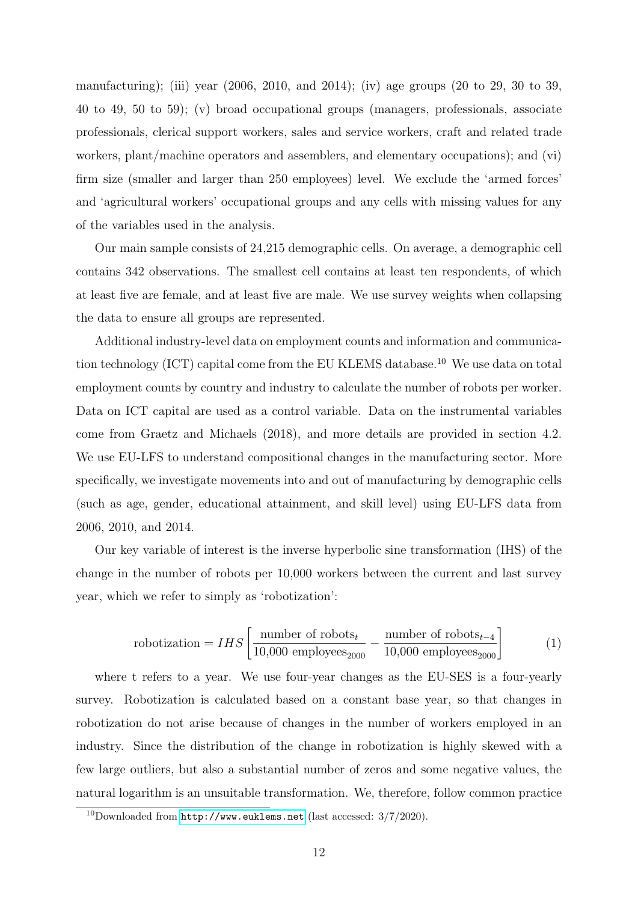manufacturing); (iii) year (2006, 2010, and 2014); (iv) age groups (20 to 29, 30 to 39, 40 to 49, 50 to 59); (v) broad occupational groups (managers, professionals, associate professionals, clerical support workers, sales and service workers, craft and related trade workers, plant/machine operators and assemblers, and elementary occupations); and (vi) firm size (smaller and larger than 250 employees) level. We exclude the 'armed forces' and 'agricultural workers' occupational groups and any cells with missing values for any of the variables used in the analysis.

Our main sample consists of 24,215 demographic cells. On average, a demographic cell contains 342 observations. The smallest cell contains at least ten respondents, of which at least five are female, and at least five are male. We use survey weights when collapsing the data to ensure all groups are represented.

Additional industry-level data on employment counts and information and communication technology (ICT) capital come from the EU KLEMS database.<sup>10</sup> We use data on total employment counts by country and industry to calculate the number of robots per worker. Data on ICT capital are used as a control variable. Data on the instrumental variables come from Graetz and Michaels (2018), and more details are provided in section 4.2. We use EU-LFS to understand compositional changes in the manufacturing sector. More specifically, we investigate movements into and out of manufacturing by demographic cells (such as age, gender, educational attainment, and skill level) using EU-LFS data from 2006, 2010, and 2014.

Our key variable of interest is the inverse hyperbolic sine transformation (IHS) of the change in the number of robots per 10,000 workers between the current and last survey year, which we refer to simply as 'robotization':

$$
robotization = IHS \left[ \frac{\text{number of robots}_{t}}{10,000 \text{ employees}_{2000}} - \frac{\text{number of robots}_{t-4}}{10,000 \text{ employees}_{2000}} \right] \tag{1}
$$

where t refers to a year. We use four-year changes as the EU-SES is a four-yearly survey. Robotization is calculated based on a constant base year, so that changes in robotization do not arise because of changes in the number of workers employed in an industry. Since the distribution of the change in robotization is highly skewed with a few large outliers, but also a substantial number of zeros and some negative values, the natural logarithm is an unsuitable transformation. We, therefore, follow common practice

 $10$ Downloaded from  $http://www.euklems.net$  (last accessed:  $3/7/2020$ ).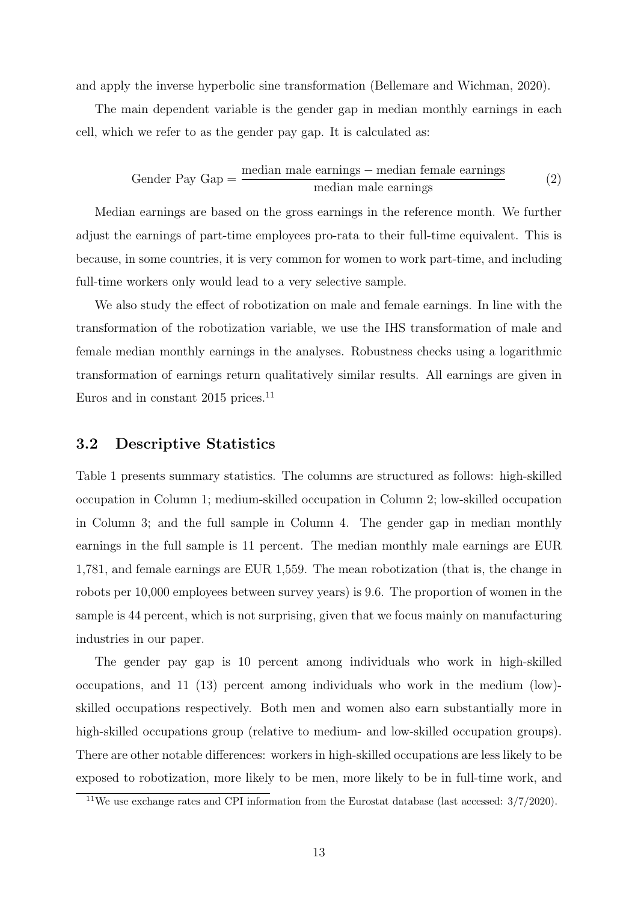and apply the inverse hyperbolic sine transformation (Bellemare and Wichman, 2020).

The main dependent variable is the gender gap in median monthly earnings in each cell, which we refer to as the gender pay gap. It is calculated as:

$$
Gender Pay Gap = \frac{median male earnings - median female earnings}{median male earnings}
$$
\n(2)

Median earnings are based on the gross earnings in the reference month. We further adjust the earnings of part-time employees pro-rata to their full-time equivalent. This is because, in some countries, it is very common for women to work part-time, and including full-time workers only would lead to a very selective sample.

We also study the effect of robotization on male and female earnings. In line with the transformation of the robotization variable, we use the IHS transformation of male and female median monthly earnings in the analyses. Robustness checks using a logarithmic transformation of earnings return qualitatively similar results. All earnings are given in Euros and in constant  $2015$  prices.<sup>11</sup>

#### 3.2 Descriptive Statistics

Table 1 presents summary statistics. The columns are structured as follows: high-skilled occupation in Column 1; medium-skilled occupation in Column 2; low-skilled occupation in Column 3; and the full sample in Column 4. The gender gap in median monthly earnings in the full sample is 11 percent. The median monthly male earnings are EUR 1,781, and female earnings are EUR 1,559. The mean robotization (that is, the change in robots per 10,000 employees between survey years) is 9.6. The proportion of women in the sample is 44 percent, which is not surprising, given that we focus mainly on manufacturing industries in our paper.

The gender pay gap is 10 percent among individuals who work in high-skilled occupations, and 11 (13) percent among individuals who work in the medium (low) skilled occupations respectively. Both men and women also earn substantially more in high-skilled occupations group (relative to medium- and low-skilled occupation groups). There are other notable differences: workers in high-skilled occupations are less likely to be exposed to robotization, more likely to be men, more likely to be in full-time work, and

<sup>&</sup>lt;sup>11</sup>We use exchange rates and CPI information from the Eurostat database (last accessed:  $3/7/2020$ ).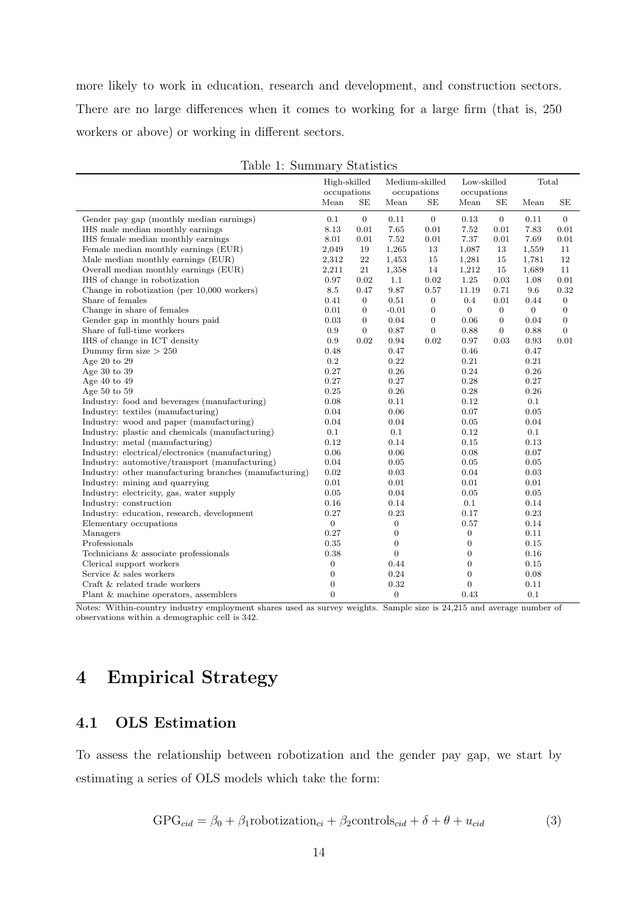more likely to work in education, research and development, and construction sectors. There are no large differences when it comes to working for a large firm (that is, 250 workers or above) or working in different sectors.

|                                                        | High-skilled<br>occupations |                  | Medium-skilled<br>occupations |                | Low-skilled<br>occupations |                  | Total          |                  |
|--------------------------------------------------------|-----------------------------|------------------|-------------------------------|----------------|----------------------------|------------------|----------------|------------------|
|                                                        | Mean                        | SE               | Mean                          | SE             | Mean                       | SE               | Mean           | SE               |
| Gender pay gap (monthly median earnings)               | 0.1                         | $\overline{0}$   | 0.11                          | $\mathbf{0}$   | 0.13                       | $\overline{0}$   | 0.11           | $\theta$         |
| IHS male median monthly earnings                       | 8.13                        | 0.01             | 7.65                          | 0.01           | 7.52                       | 0.01             | 7.83           | 0.01             |
| IHS female median monthly earnings                     | 8.01                        | 0.01             | 7.52                          | 0.01           | 7.37                       | 0.01             | 7.69           | 0.01             |
| Female median monthly earnings (EUR)                   | 2,049                       | 19               | 1,265                         | 13             | 1,087                      | 13               | 1,559          | 11               |
| Male median monthly earnings (EUR)                     | 2,312                       | 22               | 1,453                         | 15             | 1,281                      | 15               | 1,781          | 12               |
| Overall median monthly earnings (EUR)                  | 2,211                       | 21               | 1,358                         | 14             | 1,212                      | 15               | 1,689          | 11               |
| IHS of change in robotization                          | 0.97                        | 0.02             | 1.1                           | 0.02           | 1.25                       | 0.03             | 1.08           | 0.01             |
| Change in robotization (per 10,000 workers)            | 8.5                         | 0.47             | 9.87                          | 0.57           | 11.19                      | 0.71             | 9.6            | 0.32             |
| Share of females                                       | 0.41                        | $\boldsymbol{0}$ | $0.51\,$                      | $\mathbf{0}$   | 0.4                        | $0.01\,$         | 0.44           | $\mathbf{0}$     |
| Change in share of females                             | 0.01                        | $\boldsymbol{0}$ | $-0.01$                       | $\mathbf{0}$   | $\mathbf{0}$               | $\overline{0}$   | $\overline{0}$ | $\boldsymbol{0}$ |
| Gender gap in monthly hours paid                       | 0.03                        | $\boldsymbol{0}$ | 0.04                          | $\mathbf{0}$   | 0.06                       | $\boldsymbol{0}$ | 0.04           | $\mathbf{0}$     |
| Share of full-time workers                             | 0.9                         | $\overline{0}$   | 0.87                          | $\overline{0}$ | 0.88                       | $\overline{0}$   | 0.88           | $\overline{0}$   |
| IHS of change in ICT density                           | 0.9                         | 0.02             | 0.94                          | 0.02           | 0.97                       | 0.03             | 0.93           | 0.01             |
| Dummy firm size $> 250$                                | 0.48                        |                  | 0.47                          |                | 0.46                       |                  | 0.47           |                  |
| Age 20 to 29                                           | 0.2                         |                  | 0.22                          |                | 0.21                       |                  | 0.21           |                  |
| Age $30$ to $39$                                       | 0.27                        |                  | 0.26                          |                | 0.24                       |                  | 0.26           |                  |
| Age $40$ to $49$                                       | 0.27                        |                  | 0.27                          |                | 0.28                       |                  | 0.27           |                  |
| Age $50$ to $59$                                       | 0.25                        |                  | 0.26                          |                | 0.28                       |                  | 0.26           |                  |
| Industry: food and beverages (manufacturing)           | 0.08                        |                  | 0.11                          |                | 0.12                       |                  | 0.1            |                  |
| Industry: textiles (manufacturing)                     | 0.04                        |                  | 0.06                          |                | 0.07                       |                  | 0.05           |                  |
| Industry: wood and paper (manufacturing)               | 0.04                        |                  | 0.04                          |                | 0.05                       |                  | 0.04           |                  |
| Industry: plastic and chemicals (manufacturing)        | 0.1                         |                  | 0.1                           |                | 0.12                       |                  | 0.1            |                  |
| Industry: metal (manufacturing)                        | 0.12                        |                  | 0.14                          |                | $\rm 0.15$                 |                  | 0.13           |                  |
| Industry: electrical/electronics (manufacturing)       | 0.06                        |                  | 0.06                          |                | 0.08                       |                  | 0.07           |                  |
| Industry: automotive/transport (manufacturing)         | 0.04                        |                  | 0.05                          |                | 0.05                       |                  | 0.05           |                  |
| Industry: other manufacturing branches (manufacturing) | 0.02                        |                  | 0.03                          |                | 0.04                       |                  | 0.03           |                  |
| Industry: mining and quarrying                         | 0.01                        |                  | 0.01                          |                | 0.01                       |                  | 0.01           |                  |
| Industry: electricity, gas, water supply               | 0.05                        |                  | 0.04                          |                | 0.05                       |                  | 0.05           |                  |
| Industry: construction                                 | 0.16                        |                  | 0.14                          |                | 0.1                        |                  | 0.14           |                  |
| Industry: education, research, development             | 0.27                        |                  | 0.23                          |                | 0.17                       |                  | 0.23           |                  |
| Elementary occupations                                 | $\overline{0}$              |                  | 0                             |                | 0.57                       |                  | 0.14           |                  |
| Managers                                               | 0.27                        |                  | $\boldsymbol{0}$              |                | 0                          |                  | 0.11           |                  |
| Professionals                                          | 0.35                        |                  | $\mathbf{0}$                  |                | $\boldsymbol{0}$           |                  | 0.15           |                  |
| Technicians & associate professionals                  | 0.38                        |                  | $\overline{0}$                |                | $\boldsymbol{0}$           |                  | 0.16           |                  |
| Clerical support workers                               | $\boldsymbol{0}$            |                  | 0.44                          |                | $\overline{0}$             |                  | 0.15           |                  |
| Service & sales workers                                | $\boldsymbol{0}$            |                  | 0.24                          |                | $\boldsymbol{0}$           |                  | 0.08           |                  |
| Craft & related trade workers                          | $\overline{0}$              |                  | 0.32                          |                | $\overline{0}$             |                  | 0.11           |                  |
| Plant & machine operators, assemblers                  | $\Omega$                    |                  | $\overline{0}$                |                | 0.43                       |                  | 0.1            |                  |

|  |  | Table 1: Summary Statistics |  |
|--|--|-----------------------------|--|
|--|--|-----------------------------|--|

Notes: Within-country industry employment shares used as survey weights. Sample size is 24,215 and average number of observations within a demographic cell is 342.

# 4 Empirical Strategy

### 4.1 OLS Estimation

To assess the relationship between robotization and the gender pay gap, we start by estimating a series of OLS models which take the form:

$$
GPG_{cid} = \beta_0 + \beta_1 \text{robotization}_{ci} + \beta_2 \text{controls}_{cid} + \delta + \theta + u_{cid} \tag{3}
$$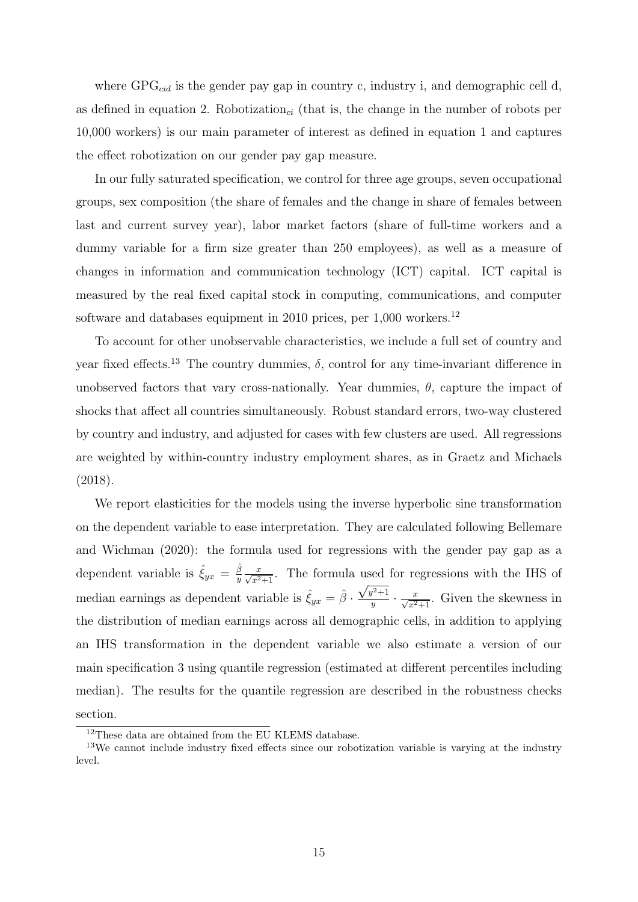where  $GPG_{cid}$  is the gender pay gap in country c, industry i, and demographic cell d, as defined in equation 2. Robotization<sub>ci</sub> (that is, the change in the number of robots per 10,000 workers) is our main parameter of interest as defined in equation 1 and captures the effect robotization on our gender pay gap measure.

In our fully saturated specification, we control for three age groups, seven occupational groups, sex composition (the share of females and the change in share of females between last and current survey year), labor market factors (share of full-time workers and a dummy variable for a firm size greater than 250 employees), as well as a measure of changes in information and communication technology (ICT) capital. ICT capital is measured by the real fixed capital stock in computing, communications, and computer software and databases equipment in 2010 prices, per  $1,000$  workers.<sup>12</sup>

To account for other unobservable characteristics, we include a full set of country and year fixed effects.<sup>13</sup> The country dummies,  $\delta$ , control for any time-invariant difference in unobserved factors that vary cross-nationally. Year dummies,  $\theta$ , capture the impact of shocks that affect all countries simultaneously. Robust standard errors, two-way clustered by country and industry, and adjusted for cases with few clusters are used. All regressions are weighted by within-country industry employment shares, as in Graetz and Michaels (2018).

We report elasticities for the models using the inverse hyperbolic sine transformation on the dependent variable to ease interpretation. They are calculated following Bellemare and Wichman (2020): the formula used for regressions with the gender pay gap as a dependent variable is  $\hat{\xi}_{yx} = \frac{\hat{\beta}}{y}$  $\frac{\beta}{y} \frac{x}{\sqrt{x^2+1}}$ . The formula used for regressions with the IHS of median earnings as dependent variable is  $\hat{\xi}_{yx} = \hat{\beta} \cdot \frac{\sqrt{y^2+1}}{y}$  $\frac{y^2+1}{y} \cdot \frac{x}{\sqrt{x^2+1}}$ . Given the skewness in the distribution of median earnings across all demographic cells, in addition to applying an IHS transformation in the dependent variable we also estimate a version of our main specification 3 using quantile regression (estimated at different percentiles including median). The results for the quantile regression are described in the robustness checks section.

<sup>12</sup>These data are obtained from the EU KLEMS database.

<sup>13</sup>We cannot include industry fixed effects since our robotization variable is varying at the industry level.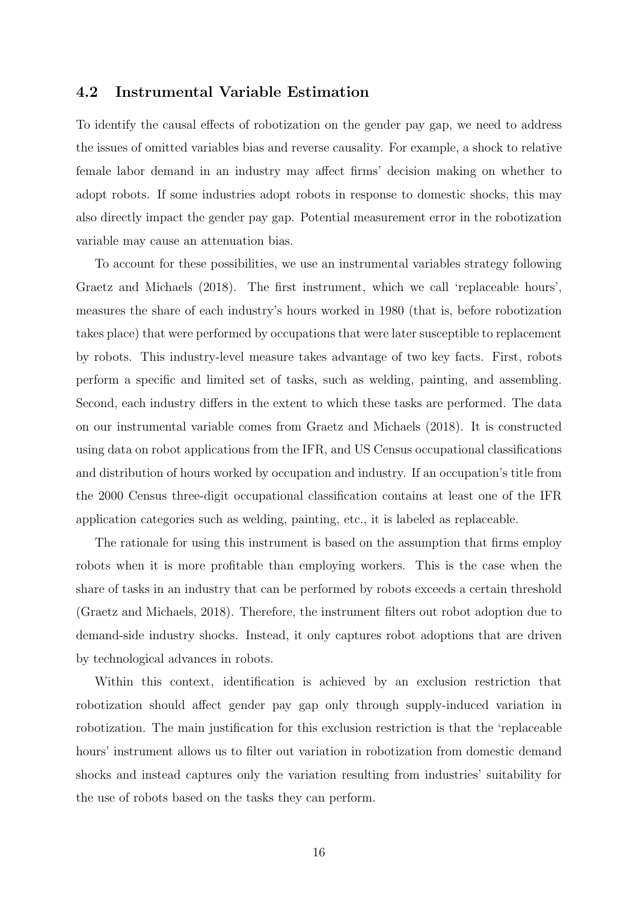#### 4.2 Instrumental Variable Estimation

To identify the causal effects of robotization on the gender pay gap, we need to address the issues of omitted variables bias and reverse causality. For example, a shock to relative female labor demand in an industry may affect firms' decision making on whether to adopt robots. If some industries adopt robots in response to domestic shocks, this may also directly impact the gender pay gap. Potential measurement error in the robotization variable may cause an attenuation bias.

To account for these possibilities, we use an instrumental variables strategy following Graetz and Michaels (2018). The first instrument, which we call 'replaceable hours', measures the share of each industry's hours worked in 1980 (that is, before robotization takes place) that were performed by occupations that were later susceptible to replacement by robots. This industry-level measure takes advantage of two key facts. First, robots perform a specific and limited set of tasks, such as welding, painting, and assembling. Second, each industry differs in the extent to which these tasks are performed. The data on our instrumental variable comes from Graetz and Michaels (2018). It is constructed using data on robot applications from the IFR, and US Census occupational classifications and distribution of hours worked by occupation and industry. If an occupation's title from the 2000 Census three-digit occupational classification contains at least one of the IFR application categories such as welding, painting, etc., it is labeled as replaceable.

The rationale for using this instrument is based on the assumption that firms employ robots when it is more profitable than employing workers. This is the case when the share of tasks in an industry that can be performed by robots exceeds a certain threshold (Graetz and Michaels, 2018). Therefore, the instrument filters out robot adoption due to demand-side industry shocks. Instead, it only captures robot adoptions that are driven by technological advances in robots.

Within this context, identification is achieved by an exclusion restriction that robotization should affect gender pay gap only through supply-induced variation in robotization. The main justification for this exclusion restriction is that the 'replaceable hours' instrument allows us to filter out variation in robotization from domestic demand shocks and instead captures only the variation resulting from industries' suitability for the use of robots based on the tasks they can perform.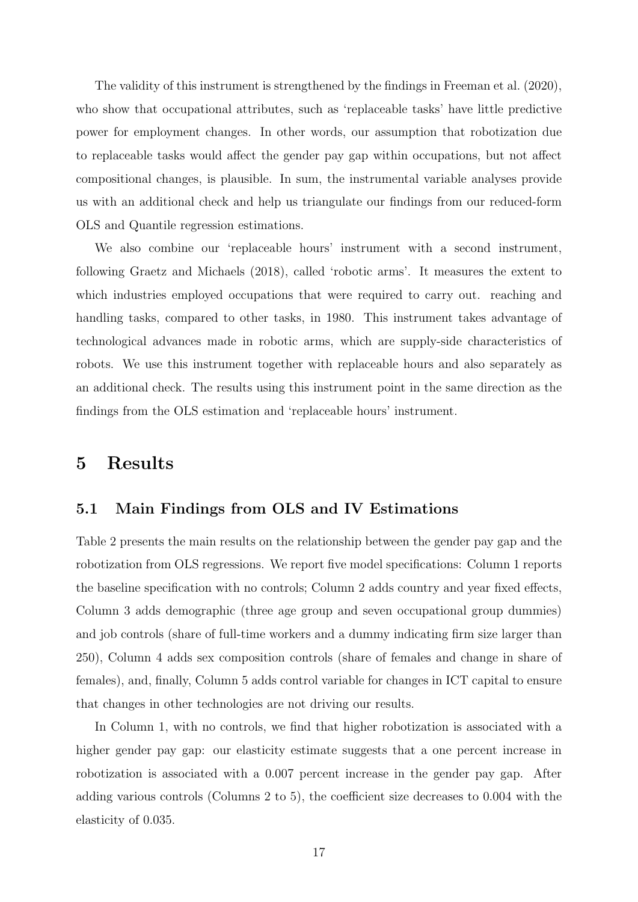The validity of this instrument is strengthened by the findings in Freeman et al. (2020), who show that occupational attributes, such as 'replaceable tasks' have little predictive power for employment changes. In other words, our assumption that robotization due to replaceable tasks would affect the gender pay gap within occupations, but not affect compositional changes, is plausible. In sum, the instrumental variable analyses provide us with an additional check and help us triangulate our findings from our reduced-form OLS and Quantile regression estimations.

We also combine our 'replaceable hours' instrument with a second instrument, following Graetz and Michaels (2018), called 'robotic arms'. It measures the extent to which industries employed occupations that were required to carry out. reaching and handling tasks, compared to other tasks, in 1980. This instrument takes advantage of technological advances made in robotic arms, which are supply-side characteristics of robots. We use this instrument together with replaceable hours and also separately as an additional check. The results using this instrument point in the same direction as the findings from the OLS estimation and 'replaceable hours' instrument.

### 5 Results

#### 5.1 Main Findings from OLS and IV Estimations

Table 2 presents the main results on the relationship between the gender pay gap and the robotization from OLS regressions. We report five model specifications: Column 1 reports the baseline specification with no controls; Column 2 adds country and year fixed effects, Column 3 adds demographic (three age group and seven occupational group dummies) and job controls (share of full-time workers and a dummy indicating firm size larger than 250), Column 4 adds sex composition controls (share of females and change in share of females), and, finally, Column 5 adds control variable for changes in ICT capital to ensure that changes in other technologies are not driving our results.

In Column 1, with no controls, we find that higher robotization is associated with a higher gender pay gap: our elasticity estimate suggests that a one percent increase in robotization is associated with a 0.007 percent increase in the gender pay gap. After adding various controls (Columns 2 to 5), the coefficient size decreases to 0.004 with the elasticity of 0.035.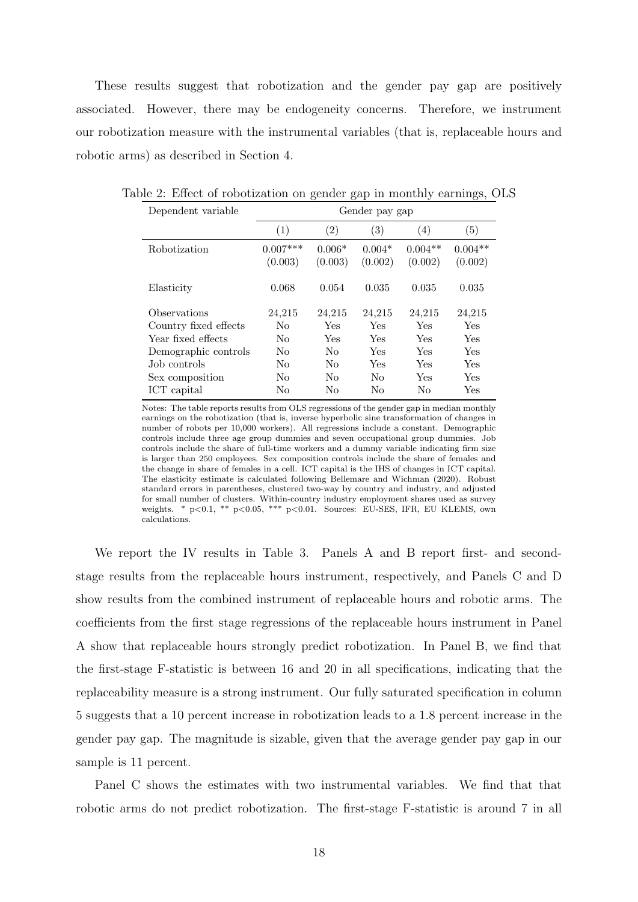These results suggest that robotization and the gender pay gap are positively associated. However, there may be endogeneity concerns. Therefore, we instrument our robotization measure with the instrumental variables (that is, replaceable hours and robotic arms) as described in Section 4.

| Dependent variable    |                |                   | Gender pay gap    |           |           |
|-----------------------|----------------|-------------------|-------------------|-----------|-----------|
|                       | (1)            | $\left( 2\right)$ | $\left( 3\right)$ | (4)       | (5)       |
| Robotization          | $0.007***$     | $0.006*$          | $0.004*$          | $0.004**$ | $0.004**$ |
|                       | (0.003)        | (0.003)           | (0.002)           | (0.002)   | (0.002)   |
| Elasticity            | 0.068          | 0.054             | 0.035             | 0.035     | 0.035     |
| Observations          | 24,215         | 24,215            | 24,215            | 24,215    | 24,215    |
| Country fixed effects | No             | Yes               | Yes               | Yes       | Yes       |
| Year fixed effects    | No             | Yes               | Yes               | Yes       | Yes       |
| Demographic controls  | N <sub>o</sub> | No                | Yes               | Yes       | Yes       |
| Job controls          | No             | No                | Yes               | Yes       | Yes       |
| Sex composition       | No             | No                | No                | Yes       | Yes       |
| ICT capital           | No             | No                | No                | No        | Yes       |

Table 2: Effect of robotization on gender gap in monthly earnings, OLS

Notes: The table reports results from OLS regressions of the gender gap in median monthly earnings on the robotization (that is, inverse hyperbolic sine transformation of changes in number of robots per 10,000 workers). All regressions include a constant. Demographic controls include three age group dummies and seven occupational group dummies. Job controls include the share of full-time workers and a dummy variable indicating firm size is larger than 250 employees. Sex composition controls include the share of females and the change in share of females in a cell. ICT capital is the IHS of changes in ICT capital. The elasticity estimate is calculated following Bellemare and Wichman (2020). Robust standard errors in parentheses, clustered two-way by country and industry, and adjusted for small number of clusters. Within-country industry employment shares used as survey weights. \* p<0.1, \*\* p<0.05, \*\*\* p<0.01. Sources: EU-SES, IFR, EU KLEMS, own calculations.

We report the IV results in Table 3. Panels A and B report first- and secondstage results from the replaceable hours instrument, respectively, and Panels C and D show results from the combined instrument of replaceable hours and robotic arms. The coefficients from the first stage regressions of the replaceable hours instrument in Panel A show that replaceable hours strongly predict robotization. In Panel B, we find that the first-stage F-statistic is between 16 and 20 in all specifications, indicating that the replaceability measure is a strong instrument. Our fully saturated specification in column 5 suggests that a 10 percent increase in robotization leads to a 1.8 percent increase in the gender pay gap. The magnitude is sizable, given that the average gender pay gap in our sample is 11 percent.

Panel C shows the estimates with two instrumental variables. We find that that robotic arms do not predict robotization. The first-stage F-statistic is around 7 in all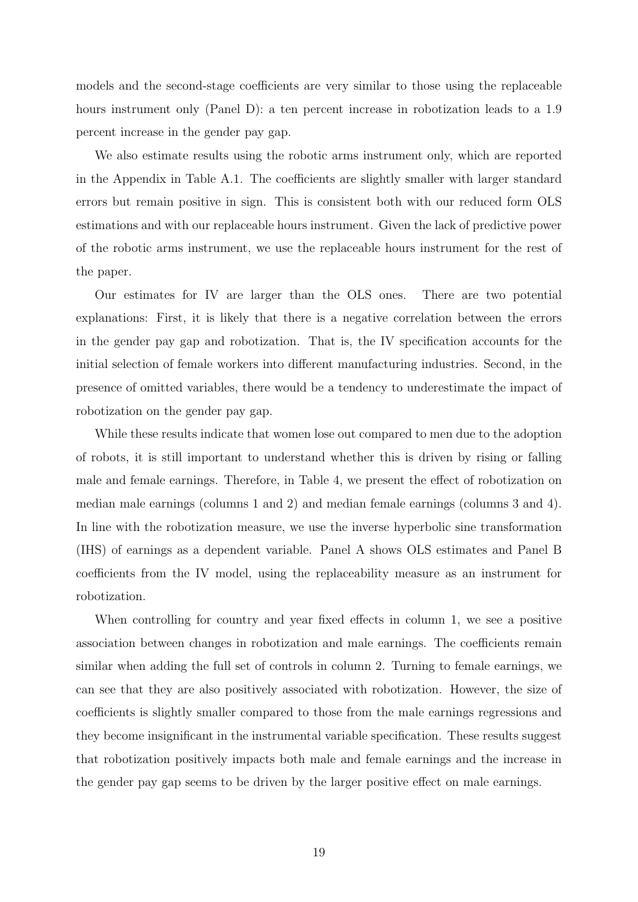models and the second-stage coefficients are very similar to those using the replaceable hours instrument only (Panel D): a ten percent increase in robotization leads to a 1.9 percent increase in the gender pay gap.

We also estimate results using the robotic arms instrument only, which are reported in the Appendix in Table A.1. The coefficients are slightly smaller with larger standard errors but remain positive in sign. This is consistent both with our reduced form OLS estimations and with our replaceable hours instrument. Given the lack of predictive power of the robotic arms instrument, we use the replaceable hours instrument for the rest of the paper.

Our estimates for IV are larger than the OLS ones. There are two potential explanations: First, it is likely that there is a negative correlation between the errors in the gender pay gap and robotization. That is, the IV specification accounts for the initial selection of female workers into different manufacturing industries. Second, in the presence of omitted variables, there would be a tendency to underestimate the impact of robotization on the gender pay gap.

While these results indicate that women lose out compared to men due to the adoption of robots, it is still important to understand whether this is driven by rising or falling male and female earnings. Therefore, in Table 4, we present the effect of robotization on median male earnings (columns 1 and 2) and median female earnings (columns 3 and 4). In line with the robotization measure, we use the inverse hyperbolic sine transformation (IHS) of earnings as a dependent variable. Panel A shows OLS estimates and Panel B coefficients from the IV model, using the replaceability measure as an instrument for robotization.

When controlling for country and year fixed effects in column 1, we see a positive association between changes in robotization and male earnings. The coefficients remain similar when adding the full set of controls in column 2. Turning to female earnings, we can see that they are also positively associated with robotization. However, the size of coefficients is slightly smaller compared to those from the male earnings regressions and they become insignificant in the instrumental variable specification. These results suggest that robotization positively impacts both male and female earnings and the increase in the gender pay gap seems to be driven by the larger positive effect on male earnings.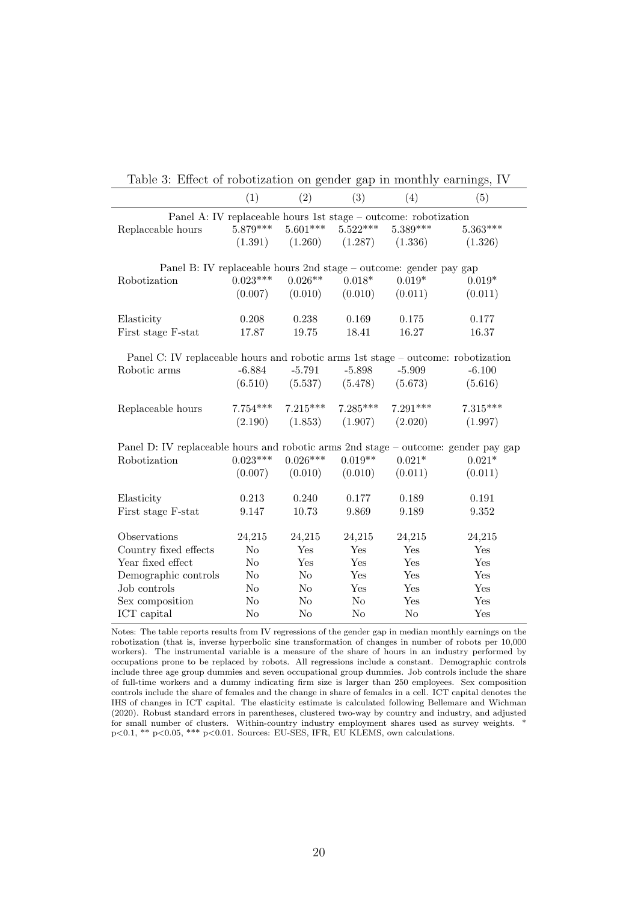| Table 9. Effect of robotization on genuer gap in monthly carinings, TV             |                |                |            |                |            |
|------------------------------------------------------------------------------------|----------------|----------------|------------|----------------|------------|
|                                                                                    | (1)            | (2)            | (3)        | (4)            | (5)        |
| Panel A: IV replaceable hours 1st stage – outcome: robotization                    |                |                |            |                |            |
| Replaceable hours                                                                  | $5.879***$     | $5.601***$     | $5.522***$ | $5.389***$     | $5.363***$ |
|                                                                                    | (1.391)        | (1.260)        | (1.287)    | (1.336)        | (1.326)    |
|                                                                                    |                |                |            |                |            |
| Panel B: IV replaceable hours 2nd stage – outcome: gender pay gap                  |                |                |            |                |            |
| Robotization                                                                       | $0.023***$     | $0.026**$      | $0.018*$   | $0.019*$       | $0.019*$   |
|                                                                                    | (0.007)        | (0.010)        | (0.010)    | (0.011)        | (0.011)    |
| Elasticity                                                                         | 0.208          | 0.238          | 0.169      | 0.175          | 0.177      |
| First stage F-stat                                                                 | 17.87          | 19.75          | 18.41      | 16.27          | 16.37      |
|                                                                                    |                |                |            |                |            |
| Panel C: IV replaceable hours and robotic arms 1st stage – outcome: robotization   |                |                |            |                |            |
| Robotic arms                                                                       | $-6.884$       | $-5.791$       | $-5.898$   | $-5.909$       | $-6.100$   |
|                                                                                    | (6.510)        | (5.537)        | (5.478)    | (5.673)        | (5.616)    |
|                                                                                    |                |                |            |                |            |
| Replaceable hours                                                                  | $7.754***$     | $7.215***$     | $7.285***$ | $7.291***$     | $7.315***$ |
|                                                                                    | (2.190)        | (1.853)        | (1.907)    | (2.020)        | (1.997)    |
| Panel D: IV replaceable hours and robotic arms 2nd stage – outcome: gender pay gap |                |                |            |                |            |
| Robotization                                                                       | $0.023***$     | $0.026***$     | $0.019**$  | $0.021*$       | $0.021*$   |
|                                                                                    | (0.007)        | (0.010)        | (0.010)    | (0.011)        | (0.011)    |
|                                                                                    |                |                |            |                |            |
| Elasticity                                                                         | 0.213          | 0.240          | 0.177      | 0.189          | 0.191      |
| First stage F-stat                                                                 | 9.147          | 10.73          | 9.869      | 9.189          | 9.352      |
|                                                                                    |                |                |            |                |            |
| Observations                                                                       | 24,215         | 24,215         | 24,215     | 24,215         | 24,215     |
| Country fixed effects                                                              | No             | Yes            | Yes        | Yes            | Yes        |
| Year fixed effect                                                                  | N <sub>o</sub> | Yes            | Yes        | Yes            | Yes        |
| Demographic controls                                                               | $\rm No$       | N <sub>o</sub> | Yes        | Yes            | Yes        |
| Job controls                                                                       | No             | N <sub>o</sub> | Yes        | Yes            | Yes        |
| Sex composition                                                                    | No             | $\rm No$       | No         | Yes            | Yes        |
| ICT capital                                                                        | No             | $\rm No$       | No         | N <sub>o</sub> | Yes        |

Table 3: Effect of robotization on gender gap in monthly earnings, IV

Notes: The table reports results from IV regressions of the gender gap in median monthly earnings on the robotization (that is, inverse hyperbolic sine transformation of changes in number of robots per 10,000 workers). The instrumental variable is a measure of the share of hours in an industry performed by occupations prone to be replaced by robots. All regressions include a constant. Demographic controls include three age group dummies and seven occupational group dummies. Job controls include the share of full-time workers and a dummy indicating firm size is larger than 250 employees. Sex composition controls include the share of females and the change in share of females in a cell. ICT capital denotes the IHS of changes in ICT capital. The elasticity estimate is calculated following Bellemare and Wichman (2020). Robust standard errors in parentheses, clustered two-way by country and industry, and adjusted for small number of clusters. Within-country industry employment shares used as survey weights. \*  $p<0.1$ , \*\*  $p<0.05$ , \*\*\*  $p<0.01$ . Sources: EU-SES, IFR, EU KLEMS, own calculations.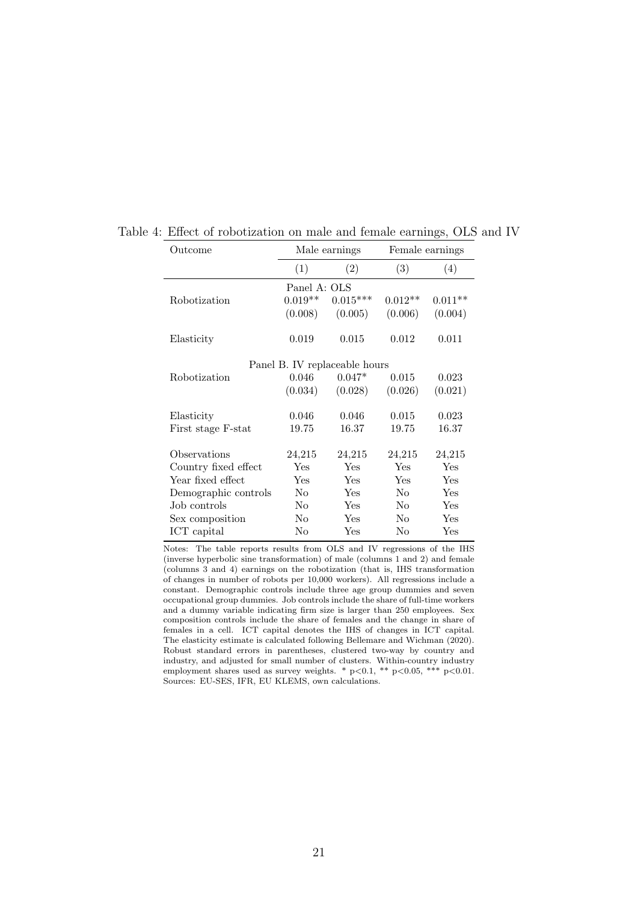| Outcome              |                | Male earnings                 |                | Female earnings |
|----------------------|----------------|-------------------------------|----------------|-----------------|
|                      | (1)            | (2)                           | (3)            | (4)             |
|                      | Panel A: OLS   |                               |                |                 |
| Robotization         | $0.019**$      | $0.015***$                    | $0.012**$      | $0.011**$       |
|                      | (0.008)        | (0.005)                       | (0.006)        | (0.004)         |
|                      | 0.019          | 0.015                         | 0.012          | 0.011           |
| Elasticity           |                |                               |                |                 |
|                      |                | Panel B. IV replaceable hours |                |                 |
| Robotization         | 0.046          | $0.047*$                      | 0.015          | 0.023           |
|                      | (0.034)        | (0.028)                       | (0.026)        | (0.021)         |
| Elasticity           | 0.046          | 0.046                         | 0.015          | 0.023           |
| First stage F-stat   | 19.75          | 16.37                         | 19.75          | 16.37           |
|                      |                |                               |                |                 |
| Observations         | 24,215         | 24,215                        | 24,215         | 24,215          |
| Country fixed effect | Yes            | Yes                           | Yes            | Yes             |
| Year fixed effect    | Yes            | Yes                           | Yes            | Yes             |
| Demographic controls | N <sub>o</sub> | Yes                           | No             | Yes             |
| Job controls         | No             | Yes                           | No             | Yes             |
| Sex composition      | No             | Yes                           | N <sub>o</sub> | Yes             |
| ICT capital          | No             | Yes                           | $\rm No$       | Yes             |

#### Table 4: Effect of robotization on male and female earnings, OLS and IV

Notes: The table reports results from OLS and IV regressions of the IHS (inverse hyperbolic sine transformation) of male (columns 1 and 2) and female (columns 3 and 4) earnings on the robotization (that is, IHS transformation of changes in number of robots per 10,000 workers). All regressions include a constant. Demographic controls include three age group dummies and seven occupational group dummies. Job controls include the share of full-time workers and a dummy variable indicating firm size is larger than 250 employees. Sex composition controls include the share of females and the change in share of females in a cell. ICT capital denotes the IHS of changes in ICT capital. The elasticity estimate is calculated following Bellemare and Wichman (2020). Robust standard errors in parentheses, clustered two-way by country and industry, and adjusted for small number of clusters. Within-country industry employment shares used as survey weights. \*  $p<0.1$ , \*\*  $p<0.05$ , \*\*\*  $p<0.01$ . Sources: EU-SES, IFR, EU KLEMS, own calculations.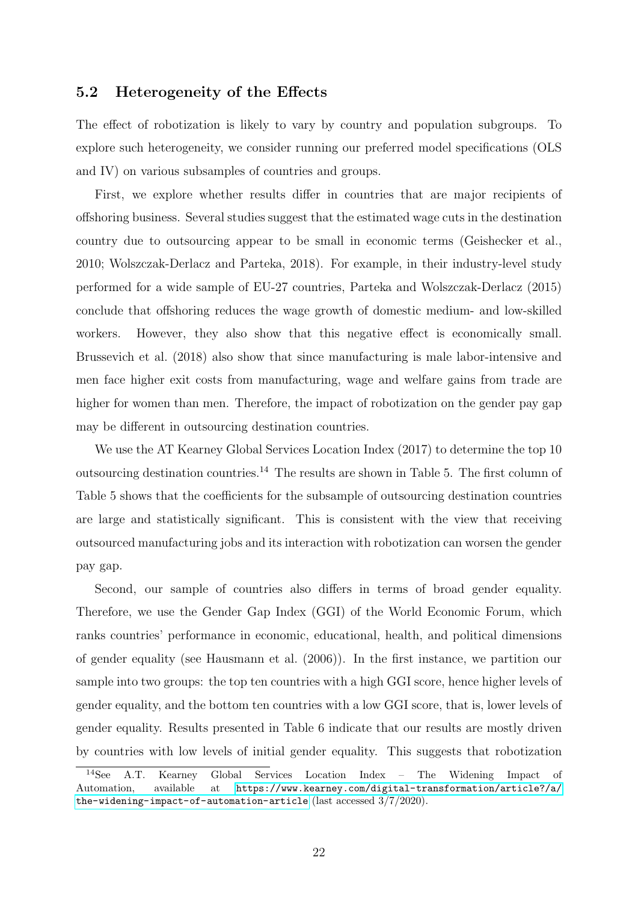#### 5.2 Heterogeneity of the Effects

The effect of robotization is likely to vary by country and population subgroups. To explore such heterogeneity, we consider running our preferred model specifications (OLS and IV) on various subsamples of countries and groups.

First, we explore whether results differ in countries that are major recipients of offshoring business. Several studies suggest that the estimated wage cuts in the destination country due to outsourcing appear to be small in economic terms (Geishecker et al., 2010; Wolszczak-Derlacz and Parteka, 2018). For example, in their industry-level study performed for a wide sample of EU-27 countries, Parteka and Wolszczak-Derlacz (2015) conclude that offshoring reduces the wage growth of domestic medium- and low-skilled workers. However, they also show that this negative effect is economically small. Brussevich et al. (2018) also show that since manufacturing is male labor-intensive and men face higher exit costs from manufacturing, wage and welfare gains from trade are higher for women than men. Therefore, the impact of robotization on the gender pay gap may be different in outsourcing destination countries.

We use the AT Kearney Global Services Location Index (2017) to determine the top 10 outsourcing destination countries.<sup>14</sup> The results are shown in Table 5. The first column of Table 5 shows that the coefficients for the subsample of outsourcing destination countries are large and statistically significant. This is consistent with the view that receiving outsourced manufacturing jobs and its interaction with robotization can worsen the gender pay gap.

Second, our sample of countries also differs in terms of broad gender equality. Therefore, we use the Gender Gap Index (GGI) of the World Economic Forum, which ranks countries' performance in economic, educational, health, and political dimensions of gender equality (see Hausmann et al. (2006)). In the first instance, we partition our sample into two groups: the top ten countries with a high GGI score, hence higher levels of gender equality, and the bottom ten countries with a low GGI score, that is, lower levels of gender equality. Results presented in Table 6 indicate that our results are mostly driven by countries with low levels of initial gender equality. This suggests that robotization

<sup>14</sup>See A.T. Kearney Global Services Location Index – The Widening Impact of Automation, available at [https://www.kearney.com/digital-transformation/article?/a/](https://www.kearney.com/digital-transformation/article?/a/the-widening-impact-of-automation-article) [the-widening-impact-of-automation-article](https://www.kearney.com/digital-transformation/article?/a/the-widening-impact-of-automation-article) (last accessed 3/7/2020).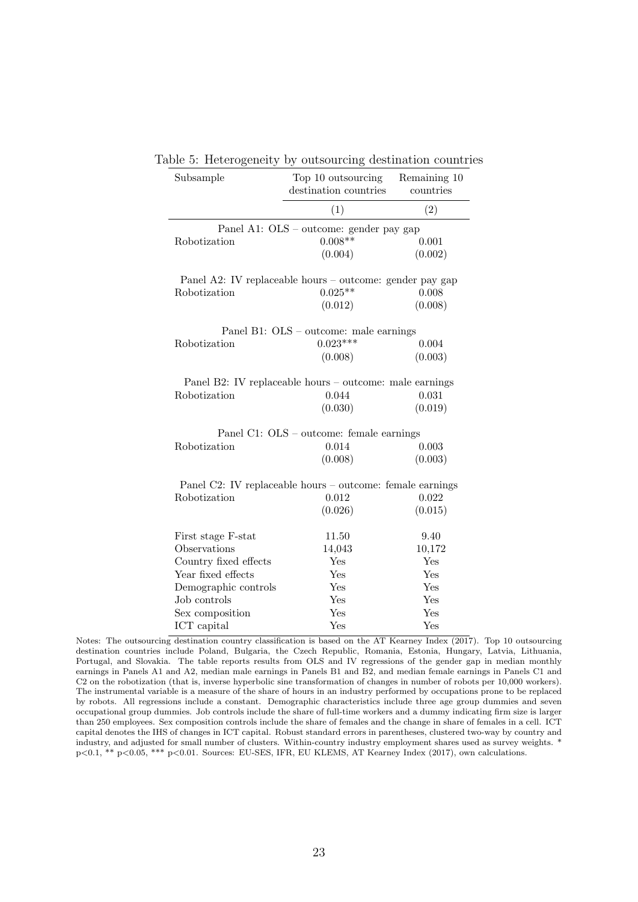| Subsample             | Top 10 outsourcing<br>destination countries               | Remaining 10<br>countries |
|-----------------------|-----------------------------------------------------------|---------------------------|
|                       | (1)                                                       | (2)                       |
|                       | Panel A1: OLS - outcome: gender pay gap                   |                           |
| Robotization          | $0.008**$                                                 | 0.001                     |
|                       | (0.004)                                                   | (0.002)                   |
|                       | Panel A2: IV replaceable hours – outcome: gender pay gap  |                           |
| <b>Robotization</b>   | $0.025**$                                                 | 0.008                     |
|                       | (0.012)                                                   | (0.008)                   |
|                       | Panel B1: OLS – outcome: male earnings                    |                           |
| Robotization          | $0.023***$                                                | 0.004                     |
|                       | (0.008)                                                   | (0.003)                   |
|                       | Panel B2: IV replaceable hours – outcome: male earnings   |                           |
| Robotization          | 0.044                                                     | 0.031                     |
|                       | (0.030)                                                   | (0.019)                   |
|                       | Panel C1: OLS – outcome: female earnings                  |                           |
| <b>Robotization</b>   | 0.014                                                     | 0.003                     |
|                       | (0.008)                                                   | (0.003)                   |
|                       | Panel C2: IV replaceable hours – outcome: female earnings |                           |
| Robotization          | 0.012                                                     | 0.022                     |
|                       | (0.026)                                                   | (0.015)                   |
| First stage F-stat    | 11.50                                                     | 9.40                      |
| Observations          | 14,043                                                    | 10,172                    |
| Country fixed effects | Yes                                                       | Yes                       |
| Year fixed effects    | Yes                                                       | Yes                       |
| Demographic controls  | Yes                                                       | Yes                       |
| Job controls          | Yes                                                       | Yes                       |
| Sex composition       | Yes                                                       | Yes                       |
| ICT capital           | Yes                                                       | Yes                       |

| Table 5: Heterogeneity by outsourcing destination countries |  |  |
|-------------------------------------------------------------|--|--|
|                                                             |  |  |

Notes: The outsourcing destination country classification is based on the AT Kearney Index (2017). Top 10 outsourcing destination countries include Poland, Bulgaria, the Czech Republic, Romania, Estonia, Hungary, Latvia, Lithuania, Portugal, and Slovakia. The table reports results from OLS and IV regressions of the gender gap in median monthly earnings in Panels A1 and A2, median male earnings in Panels B1 and B2, and median female earnings in Panels C1 and C2 on the robotization (that is, inverse hyperbolic sine transformation of changes in number of robots per 10,000 workers). The instrumental variable is a measure of the share of hours in an industry performed by occupations prone to be replaced by robots. All regressions include a constant. Demographic characteristics include three age group dummies and seven occupational group dummies. Job controls include the share of full-time workers and a dummy indicating firm size is larger than 250 employees. Sex composition controls include the share of females and the change in share of females in a cell. ICT capital denotes the IHS of changes in ICT capital. Robust standard errors in parentheses, clustered two-way by country and industry, and adjusted for small number of clusters. Within-country industry employment shares used as survey weights. \* p<0.1, \*\* p<0.05, \*\*\* p<0.01. Sources: EU-SES, IFR, EU KLEMS, AT Kearney Index (2017), own calculations.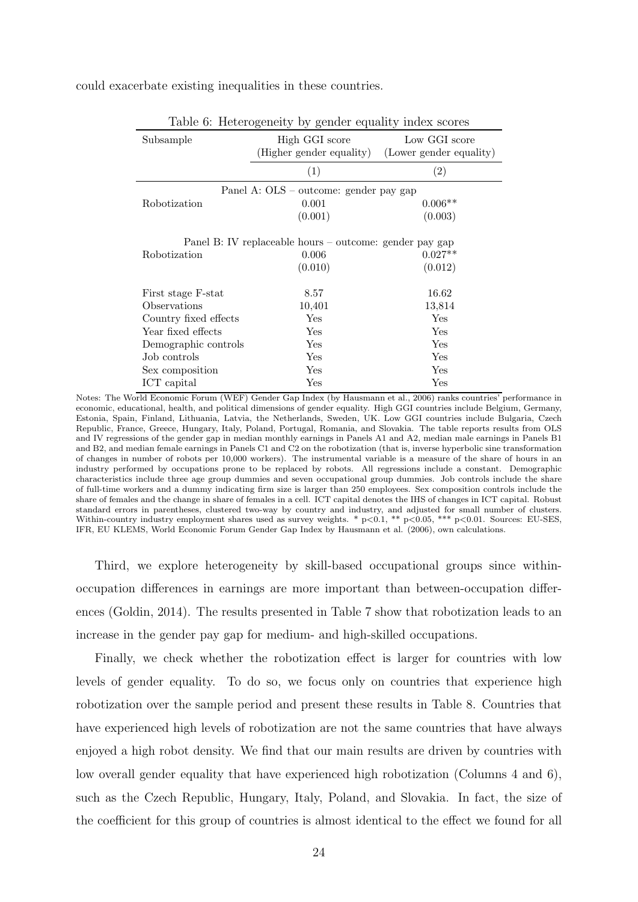could exacerbate existing inequalities in these countries.

|                       | Table o: reterogeneity by gender equality moex scores                       |                                          |
|-----------------------|-----------------------------------------------------------------------------|------------------------------------------|
| Subsample             | High GGI score<br>(Higher gender equality)                                  | Low GGI score<br>(Lower gender equality) |
|                       | (1)                                                                         | (2)                                      |
|                       | Panel A: OLS – outcome: gender pay gap                                      |                                          |
| Robotization          | 0.001                                                                       | $0.006**$                                |
|                       | (0.001)                                                                     | (0.003)                                  |
| Robotization          | Panel B: IV replaceable hours – outcome: gender pay gap<br>0.006<br>(0.010) | $0.027**$<br>(0.012)                     |
| First stage F-stat    | 8.57                                                                        | 16.62                                    |
| Observations          | 10,401                                                                      | 13,814                                   |
| Country fixed effects | Yes                                                                         | Yes                                      |
| Year fixed effects    | Yes                                                                         | Yes                                      |
| Demographic controls  | Yes                                                                         | Yes                                      |
| Job controls          | Yes                                                                         | Yes                                      |
| Sex composition       | $\operatorname{Yes}$                                                        | Yes                                      |
| ICT capital           | Yes                                                                         | Yes                                      |

Table 6: Heterogeneity by gender equality index scores

Notes: The World Economic Forum (WEF) Gender Gap Index (by Hausmann et al., 2006) ranks countries' performance in economic, educational, health, and political dimensions of gender equality. High GGI countries include Belgium, Germany, Estonia, Spain, Finland, Lithuania, Latvia, the Netherlands, Sweden, UK. Low GGI countries include Bulgaria, Czech Republic, France, Greece, Hungary, Italy, Poland, Portugal, Romania, and Slovakia. The table reports results from OLS and IV regressions of the gender gap in median monthly earnings in Panels A1 and A2, median male earnings in Panels B1 and B2, and median female earnings in Panels C1 and C2 on the robotization (that is, inverse hyperbolic sine transformation of changes in number of robots per 10,000 workers). The instrumental variable is a measure of the share of hours in an industry performed by occupations prone to be replaced by robots. All regressions include a constant. Demographic characteristics include three age group dummies and seven occupational group dummies. Job controls include the share of full-time workers and a dummy indicating firm size is larger than 250 employees. Sex composition controls include the share of females and the change in share of females in a cell. ICT capital denotes the IHS of changes in ICT capital. Robust standard errors in parentheses, clustered two-way by country and industry, and adjusted for small number of clusters. Within-country industry employment shares used as survey weights. \*  $p<0.1$ , \*\*  $p<0.05$ , \*\*\*  $p<0.01$ . Sources: EU-SES, IFR, EU KLEMS, World Economic Forum Gender Gap Index by Hausmann et al. (2006), own calculations.

Third, we explore heterogeneity by skill-based occupational groups since withinoccupation differences in earnings are more important than between-occupation differences (Goldin, 2014). The results presented in Table 7 show that robotization leads to an increase in the gender pay gap for medium- and high-skilled occupations.

Finally, we check whether the robotization effect is larger for countries with low levels of gender equality. To do so, we focus only on countries that experience high robotization over the sample period and present these results in Table 8. Countries that have experienced high levels of robotization are not the same countries that have always enjoyed a high robot density. We find that our main results are driven by countries with low overall gender equality that have experienced high robotization (Columns 4 and 6), such as the Czech Republic, Hungary, Italy, Poland, and Slovakia. In fact, the size of the coefficient for this group of countries is almost identical to the effect we found for all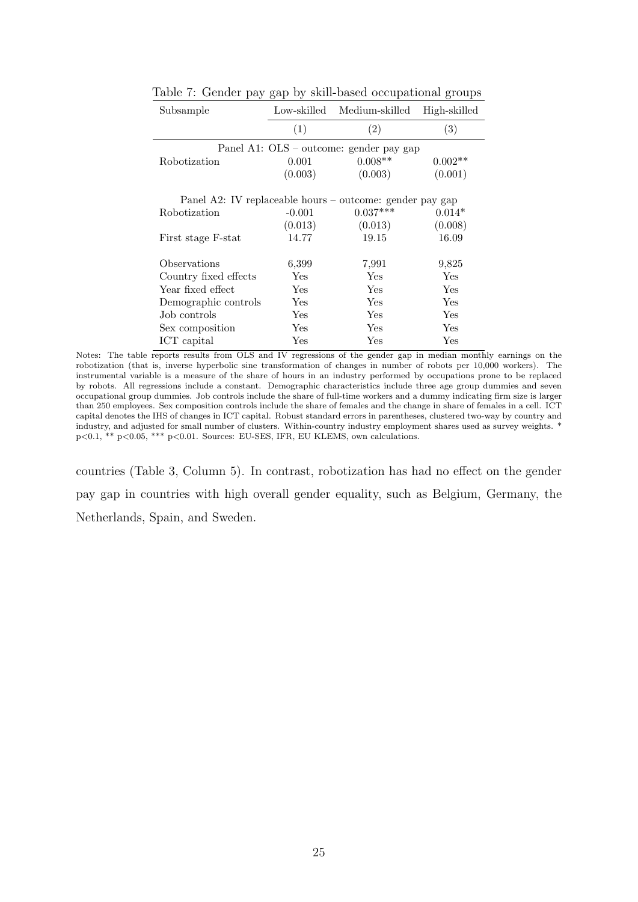| Subsample                                                | Low-skilled | Medium-skilled                          | High-skilled |
|----------------------------------------------------------|-------------|-----------------------------------------|--------------|
|                                                          | (1)         | (2)                                     | (3)          |
|                                                          |             | Panel A1: OLS – outcome: gender pay gap |              |
| Robotization                                             | 0.001       | $0.008**$                               | $0.002**$    |
|                                                          | (0.003)     | (0.003)                                 | (0.001)      |
| Panel A2: IV replaceable hours – outcome: gender pay gap |             |                                         |              |
| <b>Robotization</b>                                      | $-0.001$    | $0.037***$                              | $0.014*$     |
|                                                          | (0.013)     | (0.013)                                 | (0.008)      |
| First stage F-stat                                       | 14.77       | 19.15                                   | 16.09        |
| Observations                                             | 6,399       | 7,991                                   | 9,825        |
| Country fixed effects                                    | Yes         | <b>Yes</b>                              | Yes          |
| Year fixed effect                                        | <b>Yes</b>  | Yes                                     | Yes          |
| Demographic controls                                     | Yes         | Yes                                     | Yes          |
| Job controls                                             | Yes         | Yes                                     | Yes          |
| Sex composition                                          | Yes         | Yes                                     | Yes          |
| ICT capital                                              | Yes         | Yes                                     | Yes          |

Table 7: Gender pay gap by skill-based occupational groups

countries (Table 3, Column 5). In contrast, robotization has had no effect on the gender pay gap in countries with high overall gender equality, such as Belgium, Germany, the Netherlands, Spain, and Sweden.

Notes: The table reports results from OLS and IV regressions of the gender gap in median monthly earnings on the robotization (that is, inverse hyperbolic sine transformation of changes in number of robots per 10,000 workers). The instrumental variable is a measure of the share of hours in an industry performed by occupations prone to be replaced by robots. All regressions include a constant. Demographic characteristics include three age group dummies and seven occupational group dummies. Job controls include the share of full-time workers and a dummy indicating firm size is larger than 250 employees. Sex composition controls include the share of females and the change in share of females in a cell. ICT capital denotes the IHS of changes in ICT capital. Robust standard errors in parentheses, clustered two-way by country and industry, and adjusted for small number of clusters. Within-country industry employment shares used as survey weights. \* p<0.1, \*\* p<0.05, \*\*\* p<0.01. Sources: EU-SES, IFR, EU KLEMS, own calculations.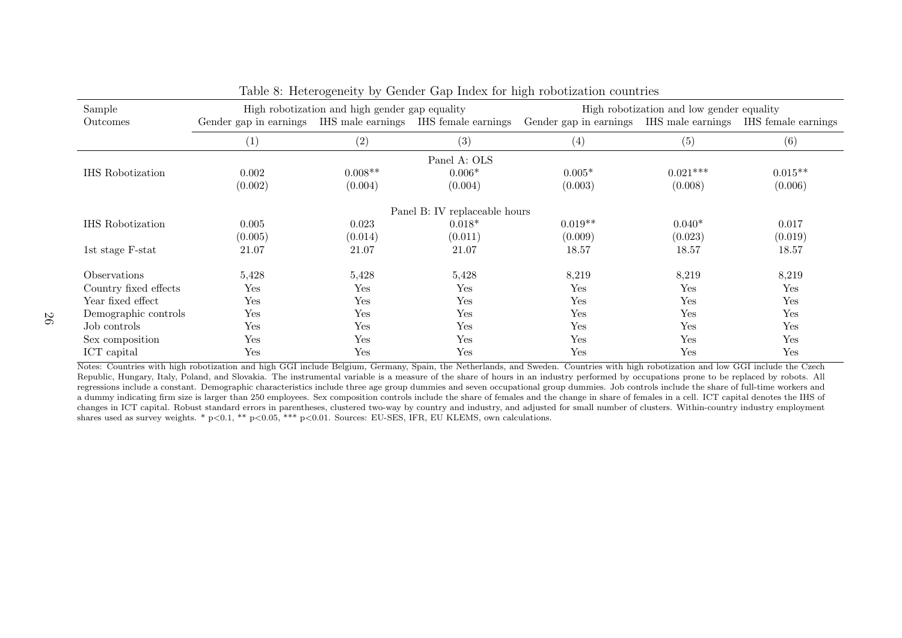| Sample                  |                        | High robotization and high gender gap equality |                                       |                        | High robotization and low gender equality |                     |
|-------------------------|------------------------|------------------------------------------------|---------------------------------------|------------------------|-------------------------------------------|---------------------|
| Outcomes                | Gender gap in earnings |                                                | IHS male earnings IHS female earnings | Gender gap in earnings | IHS male earnings                         | IHS female earnings |
|                         | $\left( 1\right)$      | (2)                                            | (3)                                   | (4)                    | (5)                                       | (6)                 |
|                         |                        |                                                | Panel A: OLS                          |                        |                                           |                     |
| <b>IHS</b> Robotization | 0.002                  | $0.008**$                                      | $0.006*$                              | $0.005*$               | $0.021***$                                | $0.015**$           |
|                         | (0.002)                | (0.004)                                        | (0.004)                               | (0.003)                | (0.008)                                   | (0.006)             |
|                         |                        |                                                | Panel B: IV replaceable hours         |                        |                                           |                     |
| <b>IHS</b> Robotization | 0.005                  | 0.023                                          | $0.018*$                              | $0.019**$              | $0.040*$                                  | 0.017               |
|                         | (0.005)                | (0.014)                                        | (0.011)                               | (0.009)                | (0.023)                                   | (0.019)             |
| 1st stage F-stat        | 21.07                  | 21.07                                          | 21.07                                 | 18.57                  | 18.57                                     | 18.57               |
| <i>Observations</i>     | 5,428                  | 5,428                                          | 5,428                                 | 8,219                  | 8,219                                     | 8,219               |
| Country fixed effects   | Yes                    | Yes                                            | Yes                                   | Yes                    | Yes                                       | Yes                 |
| Year fixed effect       | Yes                    | Yes                                            | Yes                                   | Yes                    | Yes                                       | Yes                 |
| Demographic controls    | Yes                    | Yes                                            | Yes                                   | Yes                    | Yes                                       | Yes                 |
| Job controls            | Yes                    | Yes                                            | Yes                                   | Yes                    | Yes                                       | Yes                 |
| Sex composition         | Yes                    | Yes                                            | Yes                                   | Yes                    | Yes                                       | Yes                 |
| ICT capital             | Yes                    | Yes                                            | Yes                                   | Yes                    | Yes                                       | Yes                 |

Table 8: Heterogeneity by Gender Gap Index for high robotization countries

Notes: Countries with high robotization and high GGI include Belgium, Germany, Spain, the Netherlands, and Sweden. Countries with high robotization and low GGI include the Czech Republic, Hungary, Italy, Poland, and Slovakia. The instrumental variable is <sup>a</sup> measure of the share of hours in an industry performed by occupations prone to be replaced by robots. All regressions include <sup>a</sup> constant. Demographic characteristics include three age group dummies and seven occupational group dummies. Job controls include the share of full-time workers and <sup>a</sup> dummy indicating firm size is larger than 250 employees. Sex composition controls include the share of females and the change in share of females in <sup>a</sup> cell. ICT capital denotes the IHS of changes in ICT capital. Robust standard errors in parentheses, clustered two-way by country and industry, and adjusted for small number of clusters. Within-country industry employmentshares used as survey weights. \* <sup>p</sup><sup>&</sup>lt;0.1, \*\* <sup>p</sup><sup>&</sup>lt;0.05, \*\*\* <sup>p</sup><sup>&</sup>lt;0.01. Sources: EU-SES, IFR, EU KLEMS, own calculations.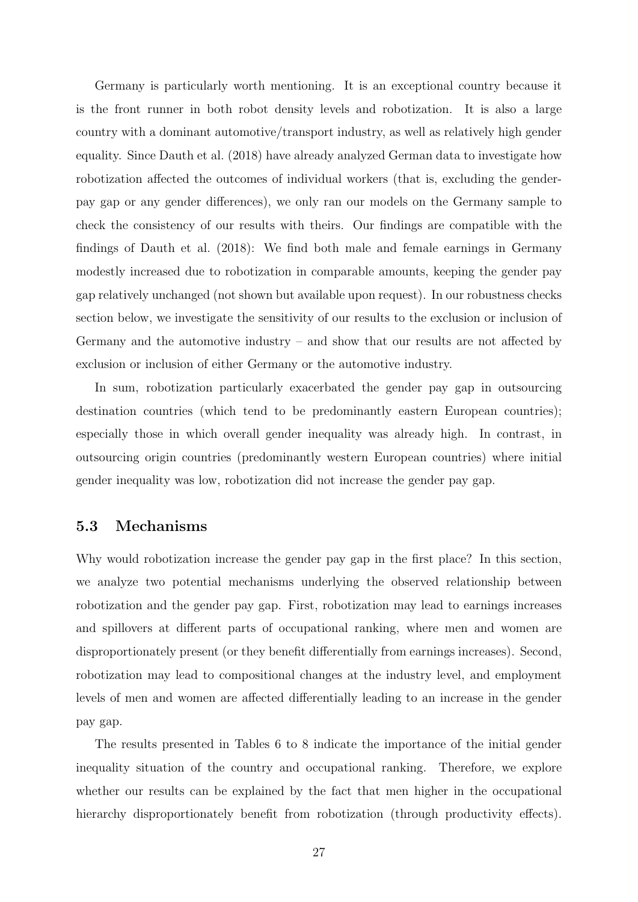Germany is particularly worth mentioning. It is an exceptional country because it is the front runner in both robot density levels and robotization. It is also a large country with a dominant automotive/transport industry, as well as relatively high gender equality. Since Dauth et al. (2018) have already analyzed German data to investigate how robotization affected the outcomes of individual workers (that is, excluding the genderpay gap or any gender differences), we only ran our models on the Germany sample to check the consistency of our results with theirs. Our findings are compatible with the findings of Dauth et al. (2018): We find both male and female earnings in Germany modestly increased due to robotization in comparable amounts, keeping the gender pay gap relatively unchanged (not shown but available upon request). In our robustness checks section below, we investigate the sensitivity of our results to the exclusion or inclusion of Germany and the automotive industry – and show that our results are not affected by exclusion or inclusion of either Germany or the automotive industry.

In sum, robotization particularly exacerbated the gender pay gap in outsourcing destination countries (which tend to be predominantly eastern European countries); especially those in which overall gender inequality was already high. In contrast, in outsourcing origin countries (predominantly western European countries) where initial gender inequality was low, robotization did not increase the gender pay gap.

#### 5.3 Mechanisms

Why would robotization increase the gender pay gap in the first place? In this section, we analyze two potential mechanisms underlying the observed relationship between robotization and the gender pay gap. First, robotization may lead to earnings increases and spillovers at different parts of occupational ranking, where men and women are disproportionately present (or they benefit differentially from earnings increases). Second, robotization may lead to compositional changes at the industry level, and employment levels of men and women are affected differentially leading to an increase in the gender pay gap.

The results presented in Tables 6 to 8 indicate the importance of the initial gender inequality situation of the country and occupational ranking. Therefore, we explore whether our results can be explained by the fact that men higher in the occupational hierarchy disproportionately benefit from robotization (through productivity effects).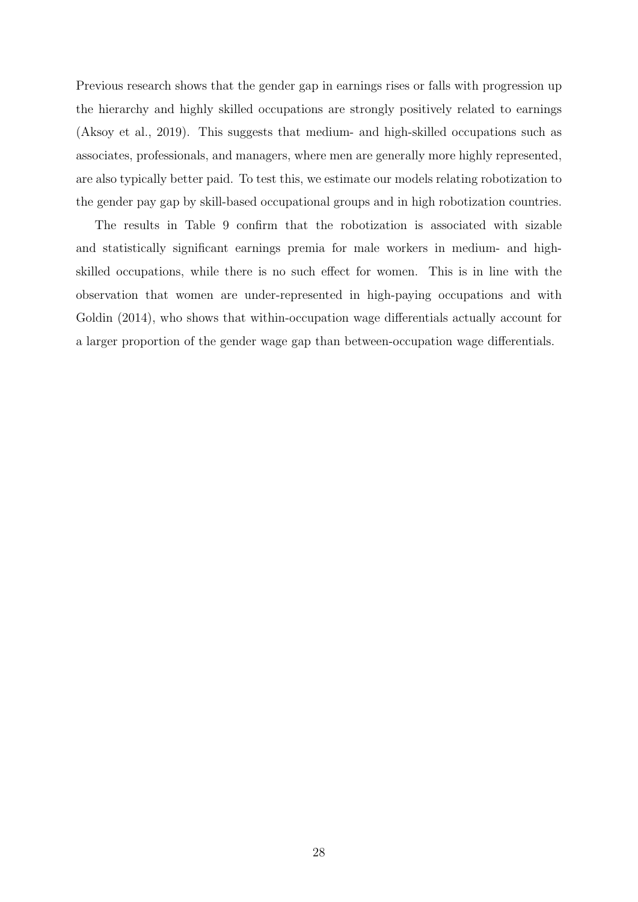Previous research shows that the gender gap in earnings rises or falls with progression up the hierarchy and highly skilled occupations are strongly positively related to earnings (Aksoy et al., 2019). This suggests that medium- and high-skilled occupations such as associates, professionals, and managers, where men are generally more highly represented, are also typically better paid. To test this, we estimate our models relating robotization to the gender pay gap by skill-based occupational groups and in high robotization countries.

The results in Table 9 confirm that the robotization is associated with sizable and statistically significant earnings premia for male workers in medium- and highskilled occupations, while there is no such effect for women. This is in line with the observation that women are under-represented in high-paying occupations and with Goldin  $(2014)$ , who shows that within-occupation wage differentials actually account for a larger proportion of the gender wage gap than between-occupation wage differentials.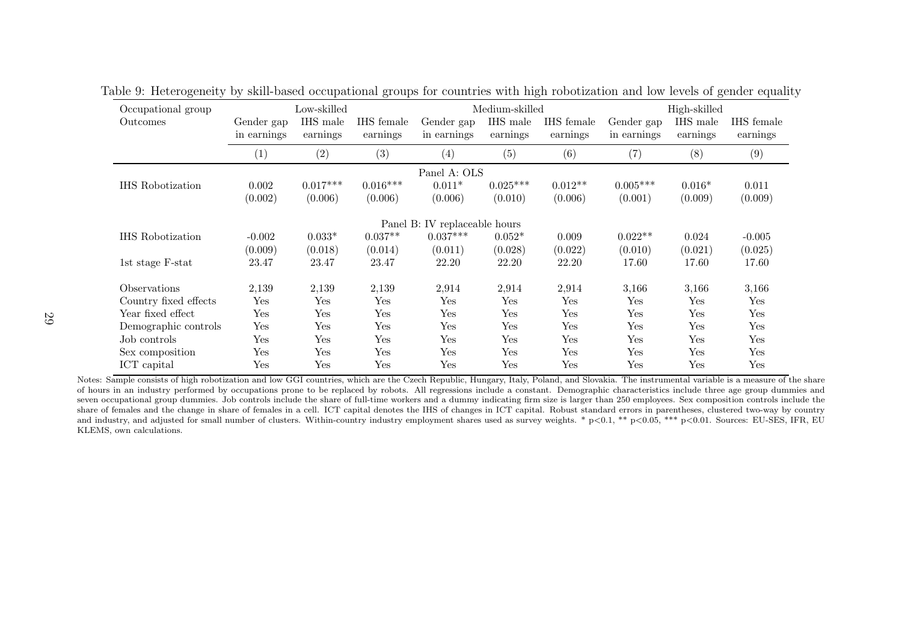|             | Low-skilled |            |                      |            |                                               |                |          |              |
|-------------|-------------|------------|----------------------|------------|-----------------------------------------------|----------------|----------|--------------|
| Gender gap  | IHS male    | IHS female | Gender gap           | IHS male   | IHS female                                    | Gender gap     | IHS male | IHS female   |
| in earnings |             | earnings   | in earnings          | earnings   | earnings                                      | in earnings    | earnings | earnings     |
| (1)         | (2)         | (3)        | (4)                  | (5)        | (6)                                           | (7)            | (8)      | (9)          |
|             |             |            |                      |            |                                               |                |          |              |
| 0.002       | $0.017***$  |            | $0.011*$             | $0.025***$ | $0.012**$                                     | $0.005***$     | $0.016*$ | 0.011        |
| (0.002)     | (0.006)     | (0.006)    | (0.006)              | (0.010)    | (0.006)                                       | (0.001)        | (0.009)  | (0.009)      |
|             |             |            |                      |            |                                               |                |          |              |
| $-0.002$    | $0.033*$    | $0.037**$  | $0.037***$           | $0.052*$   | 0.009                                         | $0.022**$      | 0.024    | $-0.005$     |
| (0.009)     | (0.018)     | (0.014)    | (0.011)              | (0.028)    | (0.022)                                       | (0.010)        | (0.021)  | (0.025)      |
| 23.47       | 23.47       | 23.47      | 22.20                | 22.20      | 22.20                                         | 17.60          | 17.60    | 17.60        |
| 2,139       | 2,139       | 2,139      | 2,914                | 2,914      | 2,914                                         | 3,166          | 3,166    | 3,166        |
| Yes         | Yes         | Yes        | $\operatorname{Yes}$ | Yes        | Yes                                           | Yes            | Yes      | Yes          |
| Yes         | Yes         | Yes        | Yes                  | Yes        | Yes                                           | Yes            | Yes      | Yes          |
| Yes         | Yes         | Yes        | Yes                  | Yes        | Yes                                           | Yes            | Yes      | Yes          |
| Yes         | Yes         | Yes        | Yes                  | Yes        | Yes                                           | Yes            | Yes      | Yes          |
| Yes         | Yes         | Yes        | Yes                  | Yes        | Yes                                           | Yes            | Yes      | Yes          |
| Yes         | Yes         | Yes        | Yes                  | Yes        | Yes                                           | Yes            | Yes      | Yes          |
|             |             | earnings   | $0.016***$           |            | Panel A: OLS<br>Panel B: IV replaceable hours | Medium-skilled |          | High-skilled |

Table 9: Heterogeneity by skill-based occupational groups for countries with high robotization and low levels of gender equality

Notes: Sample consists of high robotization and low GGI countries, which are the Czech Republic, Hungary, Italy, Poland, and Slovakia. The instrumental variable is a measure of the share of hours in an industry performed by occupations prone to be replaced by robots. All regressions include <sup>a</sup> constant. Demographic characteristics include three age group dummies and seven occupational group dummies. Job controls include the share of full-time workers and <sup>a</sup> dummy indicating firm size is larger than 250 employees. Sex composition controls include the share of females and the change in share of females in <sup>a</sup> cell. ICT capital denotes the IHS of changes in ICT capital. Robust standard errors in parentheses, clustered two-way by countryand industry, and adjusted for small number of clusters. Within-country industry employment shares used as survey weights. \* p<0.1, \*\* p<0.05, \*\*\* p<0.01. Sources: EU-SES, IFR, EU KLEMS, own calculations.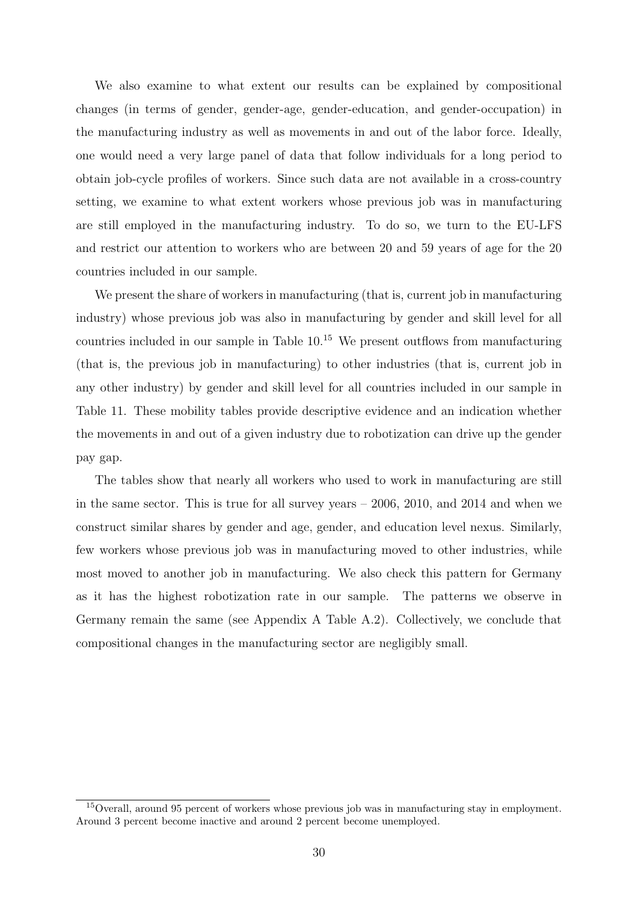We also examine to what extent our results can be explained by compositional changes (in terms of gender, gender-age, gender-education, and gender-occupation) in the manufacturing industry as well as movements in and out of the labor force. Ideally, one would need a very large panel of data that follow individuals for a long period to obtain job-cycle profiles of workers. Since such data are not available in a cross-country setting, we examine to what extent workers whose previous job was in manufacturing are still employed in the manufacturing industry. To do so, we turn to the EU-LFS and restrict our attention to workers who are between 20 and 59 years of age for the 20 countries included in our sample.

We present the share of workers in manufacturing (that is, current job in manufacturing industry) whose previous job was also in manufacturing by gender and skill level for all countries included in our sample in Table  $10<sup>15</sup>$  We present outflows from manufacturing (that is, the previous job in manufacturing) to other industries (that is, current job in any other industry) by gender and skill level for all countries included in our sample in Table 11. These mobility tables provide descriptive evidence and an indication whether the movements in and out of a given industry due to robotization can drive up the gender pay gap.

The tables show that nearly all workers who used to work in manufacturing are still in the same sector. This is true for all survey years – 2006, 2010, and 2014 and when we construct similar shares by gender and age, gender, and education level nexus. Similarly, few workers whose previous job was in manufacturing moved to other industries, while most moved to another job in manufacturing. We also check this pattern for Germany as it has the highest robotization rate in our sample. The patterns we observe in Germany remain the same (see Appendix A Table A.2). Collectively, we conclude that compositional changes in the manufacturing sector are negligibly small.

<sup>15</sup>Overall, around 95 percent of workers whose previous job was in manufacturing stay in employment. Around 3 percent become inactive and around 2 percent become unemployed.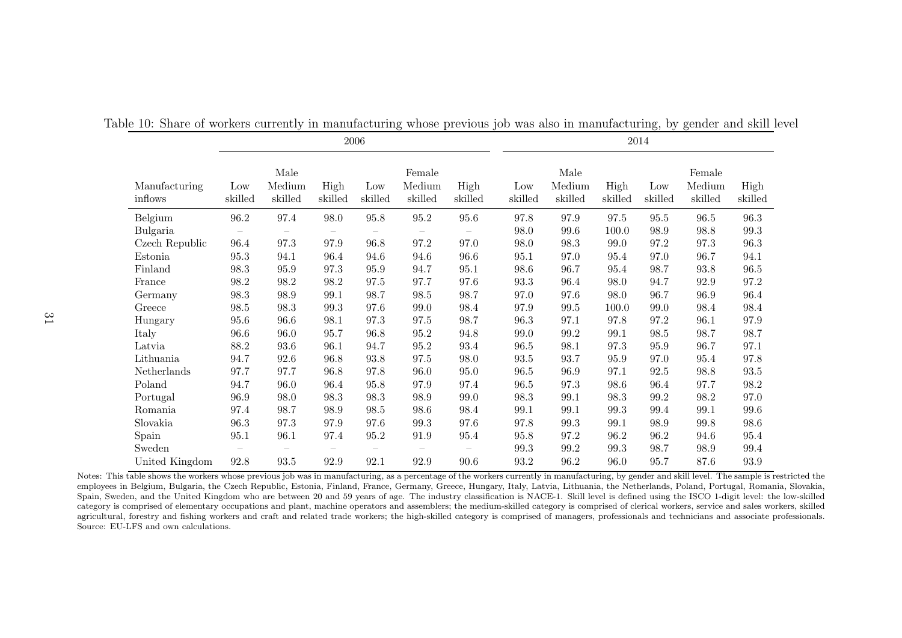|                          | 2006           |                           |                   |                |                             |                          |                |                           | 2014            |                |                             |                     |
|--------------------------|----------------|---------------------------|-------------------|----------------|-----------------------------|--------------------------|----------------|---------------------------|-----------------|----------------|-----------------------------|---------------------|
| Manufacturing<br>inflows | Low<br>skilled | Male<br>Medium<br>skilled | High<br>skilled   | Low<br>skilled | Female<br>Medium<br>skilled | High<br>skilled          | Low<br>skilled | Male<br>Medium<br>skilled | High<br>skilled | Low<br>skilled | Female<br>Medium<br>skilled | High<br>skilled     |
| Belgium                  | $96.2\,$       | $97.4\,$                  | $98.0\,$          | $95.8\,$       | $95.2\,$                    | $95.6\,$                 | $97.8\,$       | 97.9                      | 97.5            | 95.5           | $96.5\,$                    | $96.3\,$            |
| Bulgaria                 |                |                           | $\qquad \qquad -$ |                | $\overline{\phantom{m}}$    | $\overline{\phantom{0}}$ | 98.0           | $99.6\,$                  | 100.0           | $98.9\,$       | 98.8                        | $99.3\,$            |
| Czech Republic           | 96.4           | 97.3                      | 97.9              | 96.8           | 97.2                        | 97.0                     | 98.0           | 98.3                      | 99.0            | 97.2           | 97.3                        | $96.3\,$            |
| Estonia                  | 95.3           | 94.1                      | 96.4              | 94.6           | 94.6                        | 96.6                     | $95.1\,$       | 97.0                      | 95.4            | 97.0           | 96.7                        | 94.1                |
| Finland                  | 98.3           | $95.9\,$                  | 97.3              | $95.9\,$       | 94.7                        | $95.1\,$                 | 98.6           | 96.7                      | $95.4\,$        | 98.7           | $93.8\,$                    | $96.5\,$            |
| France                   | 98.2           | 98.2                      | 98.2              | 97.5           | 97.7                        | 97.6                     | $93.3\,$       | 96.4                      | 98.0            | 94.7           | 92.9                        | $97.2\,$            |
| Germany                  | $98.3\,$       | 98.9                      | 99.1              | 98.7           | $98.5\,$                    | 98.7                     | 97.0           | 97.6                      | 98.0            | 96.7           | 96.9                        | 96.4                |
| Greece                   | 98.5           | 98.3                      | $99.3\,$          | 97.6           | 99.0                        | 98.4                     | 97.9           | $\boldsymbol{99.5}$       | 100.0           | $99.0\,$       | 98.4                        | $98.4\,$            |
| Hungary                  | 95.6           | 96.6                      | 98.1              | 97.3           | 97.5                        | 98.7                     | 96.3           | 97.1                      | 97.8            | 97.2           | 96.1                        | $97.9\,$            |
| Italy                    | 96.6           | 96.0                      | 95.7              | 96.8           | 95.2                        | $94.8\,$                 | $99.0\,$       | 99.2                      | 99.1            | 98.5           | 98.7                        | 98.7                |
| Latvia                   | 88.2           | 93.6                      | 96.1              | 94.7           | $95.2\,$                    | $93.4\,$                 | 96.5           | 98.1                      | 97.3            | 95.9           | 96.7                        | 97.1                |
| Lithuania                | 94.7           | 92.6                      | 96.8              | 93.8           | 97.5                        | 98.0                     | $93.5\,$       | 93.7                      | $95.9\,$        | 97.0           | 95.4                        | $97.8\,$            |
| Netherlands              | 97.7           | 97.7                      | 96.8              | 97.8           | 96.0                        | 95.0                     | 96.5           | 96.9                      | 97.1            | 92.5           | 98.8                        | $\boldsymbol{93.5}$ |
| Poland                   | 94.7           | 96.0                      | 96.4              | 95.8           | 97.9                        | $97.4\,$                 | $96.5\,$       | 97.3                      | 98.6            | 96.4           | 97.7                        | $98.2\,$            |
| Portugal                 | 96.9           | 98.0                      | 98.3              | 98.3           | 98.9                        | 99.0                     | $98.3\,$       | 99.1                      | 98.3            | $99.2\,$       | $98.2\,$                    | 97.0                |
| Romania                  | 97.4           | 98.7                      | 98.9              | 98.5           | 98.6                        | $98.4\,$                 | $99.1\,$       | 99.1                      | 99.3            | 99.4           | 99.1                        | $99.6\,$            |
| Slovakia                 | 96.3           | 97.3                      | 97.9              | 97.6           | 99.3                        | 97.6                     | $97.8\,$       | 99.3                      | 99.1            | 98.9           | 99.8                        | 98.6                |
| Spain                    | 95.1           | 96.1                      | 97.4              | 95.2           | 91.9                        | 95.4                     | 95.8           | 97.2                      | 96.2            | 96.2           | 94.6                        | 95.4                |
| Sweden                   |                |                           |                   |                |                             |                          | $99.3\,$       | 99.2                      | 99.3            | 98.7           | 98.9                        | 99.4                |
| United Kingdom           | $92.8\,$       | $\boldsymbol{93.5}$       | $92.9\,$          | 92.1           | $92.9\,$                    | $90.6\,$                 | $93.2\,$       | $96.2\,$                  | 96.0            | 95.7           | 87.6                        | $93.9\,$            |

Table 10: Share of workers currently in manufacturing whose previous job was also in manufacturing, by gender and skill level

Notes: This table shows the workers whose previous job was in manufacturing, as a percentage of the workers currently in manufacturing, by gender and skill level. The sample is restricted the employees in Belgium, Bulgaria, the Czech Republic, Estonia, Finland, France, Germany, Greece, Hungary, Italy, Latvia, Lithuania, the Netherlands, Poland, Portugal, Romania, Slovakia, Spain, Sweden, and the United Kingdom who are between 20 and 59 years of age. The industry classification is NACE-1. Skill level is defined using the ISCO 1-digit level: the low-skilled category is comprised of elementary occupations and <sup>p</sup>lant, machine operators and assemblers; the medium-skilled category is comprised of clerical workers, service and sales workers, skilled agricultural, forestry and fishing workers and craft and related trade workers; the high-skilled category is comprised of managers, professionals and technicians and associate professionals.Source: EU-LFS and own calculations.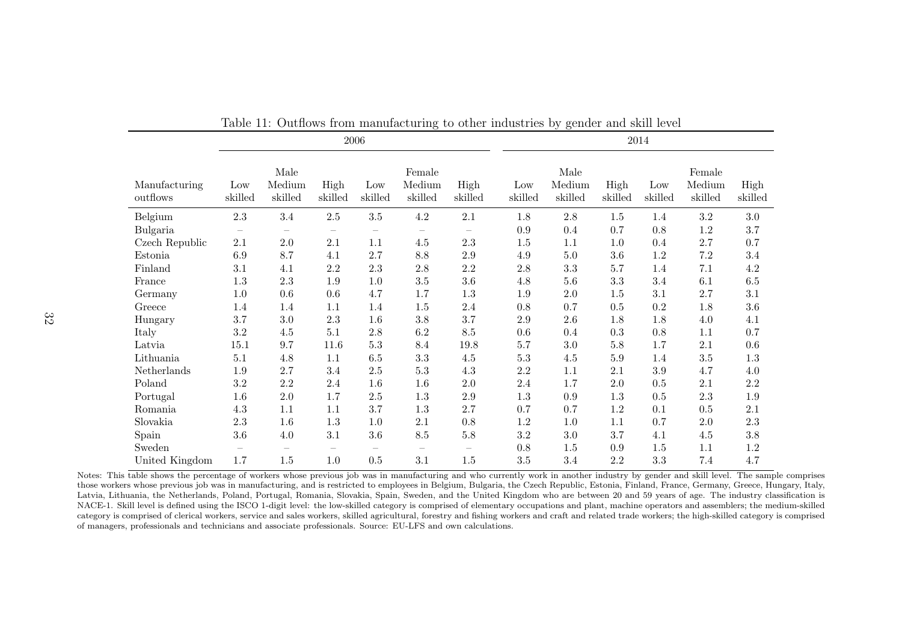|                           | 2006                     |                           |                          |                                       |                             |                          |                |                           | 2014            |                |                             |                 |
|---------------------------|--------------------------|---------------------------|--------------------------|---------------------------------------|-----------------------------|--------------------------|----------------|---------------------------|-----------------|----------------|-----------------------------|-----------------|
| Manufacturing<br>outflows | Low<br>skilled           | Male<br>Medium<br>skilled | High<br>skilled          | Low<br>skilled                        | Female<br>Medium<br>skilled | High<br>skilled          | Low<br>skilled | Male<br>Medium<br>skilled | High<br>skilled | Low<br>skilled | Female<br>Medium<br>skilled | High<br>skilled |
| Belgium                   | $2.3\,$                  | $3.4\,$                   | $2.5\,$                  | $3.5\,$                               | $4.2\,$                     | 2.1                      | 1.8            | $2.8\,$                   | $1.5\,$         | 1.4            | $\!3.2\!$                   | $3.0\,$         |
| Bulgaria                  | $\overline{\phantom{0}}$ |                           | $\overline{\phantom{m}}$ |                                       |                             | $\overline{\phantom{m}}$ | 0.9            | 0.4                       | 0.7             | 0.8            | $1.2\,$                     | 3.7             |
| Czech Republic            | $2.1\,$                  | $2.0\,$                   | 2.1                      | 1.1                                   | 4.5                         | $2.3\,$                  | 1.5            | 1.1                       | 1.0             | 0.4            | 2.7                         | 0.7             |
| Estonia                   | $6.9\,$                  | 8.7                       | 4.1                      | $2.7\,$                               | $8.8\,$                     | $2.9\,$                  | $4.9\,$        | $5.0\,$                   | $3.6\,$         | $1.2\,$        | $7.2\,$                     | 3.4             |
| Finland                   | 3.1                      | 4.1                       | $2.2\,$                  | $2.3\,$                               | $2.8\,$                     | $2.2\,$                  | $2.8\,$        | $3.3\,$                   | 5.7             | 1.4            | 7.1                         | $4.2\,$         |
| France                    | $1.3\,$                  | $2.3\,$                   | 1.9                      | 1.0                                   | $3.5\,$                     | $3.6\,$                  | 4.8            | $5.6\,$                   | $3.3\,$         | 3.4            | 6.1                         | $6.5\,$         |
| Germany                   | 1.0                      | 0.6                       | $0.6\,$                  | 4.7                                   | 1.7                         | $1.3\,$                  | 1.9            | 2.0                       | 1.5             | 3.1            | $2.7\,$                     | 3.1             |
| Greece                    | 1.4                      | 1.4                       | 1.1                      | 1.4                                   | $1.5\,$                     | $2.4\,$                  | 0.8            | 0.7                       | 0.5             | 0.2            | 1.8                         | $3.6\,$         |
| Hungary                   | $3.7\,$                  | $3.0\,$                   | $2.3\,$                  | $1.6\,$                               | $3.8\,$                     | $3.7\,$                  | $2.9\,$        | $2.6\,$                   | 1.8             | 1.8            | 4.0                         | 4.1             |
| Italy                     | $3.2\,$                  | $4.5\,$                   | $5.1\,$                  | $2.8\,$                               | $6.2\,$                     | $\!\!\!\!\!8.5$          | 0.6            | 0.4                       | 0.3             | 0.8            | 1.1                         | $0.7\,$         |
| Latvia                    | 15.1                     | 9.7                       | 11.6                     | $5.3\,$                               | 8.4                         | $19.8\,$                 | 5.7            | 3.0                       | $5.8\,$         | $1.7\,$        | 2.1                         | $0.6\,$         |
| Lithuania                 | $5.1\,$                  | 4.8                       | 1.1                      | 6.5                                   | $3.3\,$                     | $4.5\,$                  | 5.3            | $4.5\,$                   | $5.9$           | 1.4            | 3.5                         | 1.3             |
| Netherlands               | 1.9                      | 2.7                       | 3.4                      | $2.5\,$                               | $5.3\,$                     | 4.3                      | $2.2\,$        | 1.1                       | $2.1\,$         | $3.9\,$        | 4.7                         | 4.0             |
| Poland                    | $3.2\,$                  | $2.2\,$                   | 2.4                      | 1.6                                   | $1.6\,$                     | $2.0\,$                  | 2.4            | 1.7                       | 2.0             | 0.5            | 2.1                         | $2.2\,$         |
| Portugal                  | $1.6\,$                  | $2.0\,$                   | 1.7                      | $2.5\,$                               | $1.3\,$                     | $2.9\,$                  | $1.3\,$        | 0.9                       | 1.3             | $0.5\,$        | $2.3\,$                     | $1.9\,$         |
| Romania                   | $4.3\,$                  | 1.1                       | 1.1                      | 3.7                                   | $1.3\,$                     | $2.7\,$                  | 0.7            | 0.7                       | 1.2             | 0.1            | 0.5                         | 2.1             |
| Slovakia                  | $2.3\,$                  | 1.6                       | $1.3\,$                  | $1.0\,$                               | $2.1\,$                     | $0.8\,$                  | $1.2\,$        | $1.0\,$                   | $1.1\,$         | 0.7            | $2.0\,$                     | $2.3\,$         |
| Spain                     | $3.6\,$                  | $4.0\,$                   | $3.1\,$                  | $3.6\,$                               | $\!\!\!\!\!8.5$             | $5.8\,$                  | $3.2\,$        | 3.0                       | 3.7             | 4.1            | 4.5                         | 3.8             |
| Sweden                    |                          | $\qquad \qquad -$         |                          | $\hspace{1.0cm} \rule{1.5cm}{0.15cm}$ |                             | $\overline{\phantom{m}}$ | 0.8            | 1.5                       | 0.9             | 1.5            | 1.1                         | $1.2\,$         |
| United Kingdom            | 1.7                      | 1.5                       | 1.0                      | 0.5                                   | 3.1                         | 1.5                      | $3.5\,$        | 3.4                       | $2.2\,$         | 3.3            | $7.4\,$                     | 4.7             |

Table 11: Outflows from manufacturing to other industries by gender and skill level

Notes: This table shows the percentage of workers whose previous job was in manufacturing and who currently work in another industry by gender and skill level. The sample comprises those workers whose previous job was in manufacturing, and is restricted to employees in Belgium, Bulgaria, the Czech Republic, Estonia, Finland, France, Germany, Greece, Hungary, Italy, Latvia, Lithuania, the Netherlands, Poland, Portugal, Romania, Slovakia, Spain, Sweden, and the United Kingdom who are between 20 and 59 years of age. The industry classification is NACE-1. Skill level is defined using the ISCO 1-digit level: the low-skilled category is comprised of elementary occupations and <sup>p</sup>lant, machine operators and assemblers; the medium-skilled category is comprised of clerical workers, service and sales workers, skilled agricultural, forestry and fishing workers and craft and related trade workers; the high-skilled category is comprisedof managers, professionals and technicians and associate professionals. Source: EU-LFS and own calculations.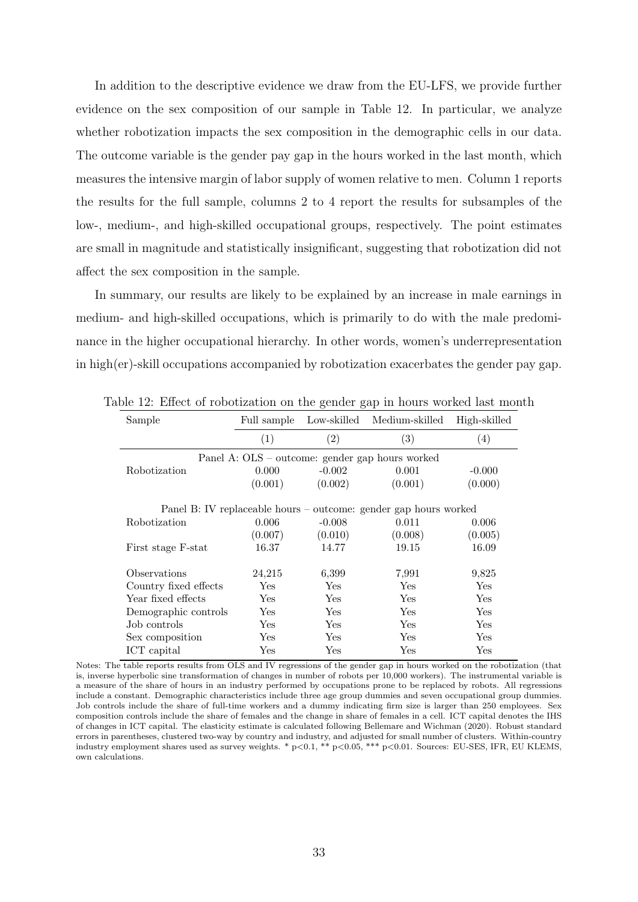In addition to the descriptive evidence we draw from the EU-LFS, we provide further evidence on the sex composition of our sample in Table 12. In particular, we analyze whether robotization impacts the sex composition in the demographic cells in our data. The outcome variable is the gender pay gap in the hours worked in the last month, which measures the intensive margin of labor supply of women relative to men. Column 1 reports the results for the full sample, columns 2 to 4 report the results for subsamples of the low-, medium-, and high-skilled occupational groups, respectively. The point estimates are small in magnitude and statistically insignificant, suggesting that robotization did not affect the sex composition in the sample.

In summary, our results are likely to be explained by an increase in male earnings in medium- and high-skilled occupations, which is primarily to do with the male predominance in the higher occupational hierarchy. In other words, women's underrepresentation in high(er)-skill occupations accompanied by robotization exacerbates the gender pay gap.

| Sample                | Full sample                                                      |            | Low-skilled Medium-skilled                      | High-skilled         |  |  |  |
|-----------------------|------------------------------------------------------------------|------------|-------------------------------------------------|----------------------|--|--|--|
|                       | (1)                                                              | (2)        | (3)                                             | $\left( 4\right)$    |  |  |  |
|                       |                                                                  |            | Panel A: OLS – outcome: gender gap hours worked |                      |  |  |  |
| Robotization          | 0.000                                                            | $-0.002$   | 0.001                                           | $-0.000$             |  |  |  |
|                       | (0.001)                                                          | (0.002)    | (0.001)                                         | (0.000)              |  |  |  |
|                       | Panel B: IV replaceable hours – outcome: gender gap hours worked |            |                                                 |                      |  |  |  |
| <b>Robotization</b>   | 0.006                                                            | $-0.008$   | 0.011                                           | 0.006                |  |  |  |
|                       | (0.007)                                                          | (0.010)    | (0.008)                                         | (0.005)              |  |  |  |
| First stage F-stat    | 16.37                                                            | 14.77      | 19.15                                           | 16.09                |  |  |  |
| Observations          | 24,215                                                           | 6,399      | 7,991                                           | 9,825                |  |  |  |
| Country fixed effects | Yes                                                              | Yes        | Yes                                             | Yes                  |  |  |  |
| Year fixed effects    | Yes                                                              | <b>Yes</b> | Yes                                             | <b>Yes</b>           |  |  |  |
| Demographic controls  | Yes                                                              | Yes        | Yes                                             | Yes                  |  |  |  |
| Job controls          | Yes                                                              | Yes        | Yes                                             | Yes                  |  |  |  |
| Sex composition       | Yes                                                              | <b>Yes</b> | <b>Yes</b>                                      | Yes                  |  |  |  |
| ICT capital           | $_{\rm Yes}$                                                     | Yes        | Yes                                             | $\operatorname{Yes}$ |  |  |  |

Table 12: Effect of robotization on the gender gap in hours worked last month

Notes: The table reports results from OLS and IV regressions of the gender gap in hours worked on the robotization (that is, inverse hyperbolic sine transformation of changes in number of robots per 10,000 workers). The instrumental variable is a measure of the share of hours in an industry performed by occupations prone to be replaced by robots. All regressions include a constant. Demographic characteristics include three age group dummies and seven occupational group dummies. Job controls include the share of full-time workers and a dummy indicating firm size is larger than 250 employees. Sex composition controls include the share of females and the change in share of females in a cell. ICT capital denotes the IHS of changes in ICT capital. The elasticity estimate is calculated following Bellemare and Wichman (2020). Robust standard errors in parentheses, clustered two-way by country and industry, and adjusted for small number of clusters. Within-country industry employment shares used as survey weights. \* p<0.1, \*\* p<0.05, \*\*\* p<0.01. Sources: EU-SES, IFR, EU KLEMS, own calculations.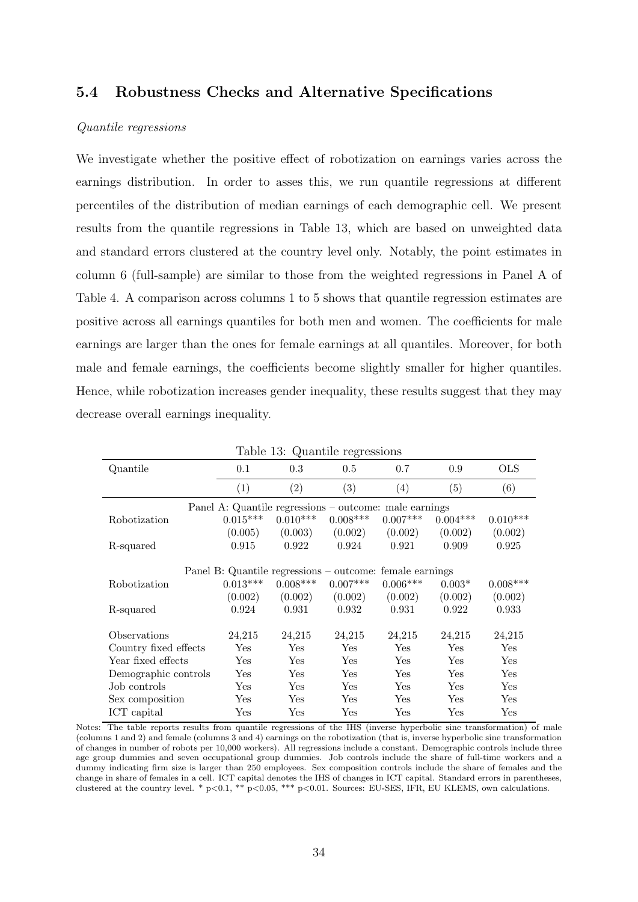#### 5.4 Robustness Checks and Alternative Specifications

#### Quantile regressions

We investigate whether the positive effect of robotization on earnings varies across the earnings distribution. In order to asses this, we run quantile regressions at different percentiles of the distribution of median earnings of each demographic cell. We present results from the quantile regressions in Table 13, which are based on unweighted data and standard errors clustered at the country level only. Notably, the point estimates in column 6 (full-sample) are similar to those from the weighted regressions in Panel A of Table 4. A comparison across columns 1 to 5 shows that quantile regression estimates are positive across all earnings quantiles for both men and women. The coefficients for male earnings are larger than the ones for female earnings at all quantiles. Moreover, for both male and female earnings, the coefficients become slightly smaller for higher quantiles. Hence, while robotization increases gender inequality, these results suggest that they may decrease overall earnings inequality.

| rapie ro. Adamnie regressions |                                                          |            |            |                      |                      |            |  |
|-------------------------------|----------------------------------------------------------|------------|------------|----------------------|----------------------|------------|--|
| Quantile                      | 0.1                                                      | 0.3        | 0.5        | 0.7                  | 0.9                  | <b>OLS</b> |  |
|                               | (1)                                                      | (2)        | (3)        | (4)                  | (5)                  | (6)        |  |
|                               | Panel A: Quantile regressions – outcome: male earnings   |            |            |                      |                      |            |  |
| Robotization                  | $0.015***$                                               | $0.010***$ | $0.008***$ | $0.007***$           | $0.004***$           | $0.010***$ |  |
|                               | (0.005)                                                  | (0.003)    | (0.002)    | (0.002)              | (0.002)              | (0.002)    |  |
| R-squared                     | 0.915                                                    | 0.922      | 0.924      | 0.921                | 0.909                | 0.925      |  |
|                               |                                                          |            |            |                      |                      |            |  |
|                               | Panel B: Quantile regressions – outcome: female earnings |            |            |                      |                      |            |  |
| Robotization                  | $0.013***$                                               | $0.008***$ | $0.007***$ | $0.006***$           | $0.003*$             | $0.008***$ |  |
|                               | (0.002)                                                  | (0.002)    | (0.002)    | (0.002)              | (0.002)              | (0.002)    |  |
| R-squared                     | 0.924                                                    | 0.931      | 0.932      | 0.931                | 0.922                | 0.933      |  |
|                               |                                                          |            |            |                      |                      |            |  |
| Observations                  | 24,215                                                   | 24,215     | 24,215     | 24,215               | 24,215               | 24,215     |  |
| Country fixed effects         | Yes                                                      | Yes        | Yes        | $\operatorname{Yes}$ | Yes                  | Yes        |  |
| Year fixed effects            | Yes                                                      | Yes        | Yes        | Yes                  | Yes                  | Yes        |  |
| Demographic controls          | Yes                                                      | Yes        | Yes        | Yes                  | Yes                  | Yes        |  |
| Job controls                  | Yes                                                      | Yes        | Yes        | Yes                  | Yes                  | Yes        |  |
| Sex composition               | Yes                                                      | Yes        | Yes        | Yes                  | Yes                  | Yes        |  |
| ICT capital                   | $_{\rm Yes}$                                             | Yes        | Yes        | Yes                  | $\operatorname{Yes}$ | Yes        |  |
|                               |                                                          |            |            |                      |                      |            |  |

Table 13: Quantile regressions

Notes: The table reports results from quantile regressions of the IHS (inverse hyperbolic sine transformation) of male (columns 1 and 2) and female (columns 3 and 4) earnings on the robotization (that is, inverse hyperbolic sine transformation of changes in number of robots per 10,000 workers). All regressions include a constant. Demographic controls include three age group dummies and seven occupational group dummies. Job controls include the share of full-time workers and a dummy indicating firm size is larger than 250 employees. Sex composition controls include the share of females and the change in share of females in a cell. ICT capital denotes the IHS of changes in ICT capital. Standard errors in parentheses, clustered at the country level. \*  $p<0.1$ , \*\*  $p<0.05$ , \*\*\*  $p<0.01$ . Sources: EU-SES, IFR, EU KLEMS, own calculations.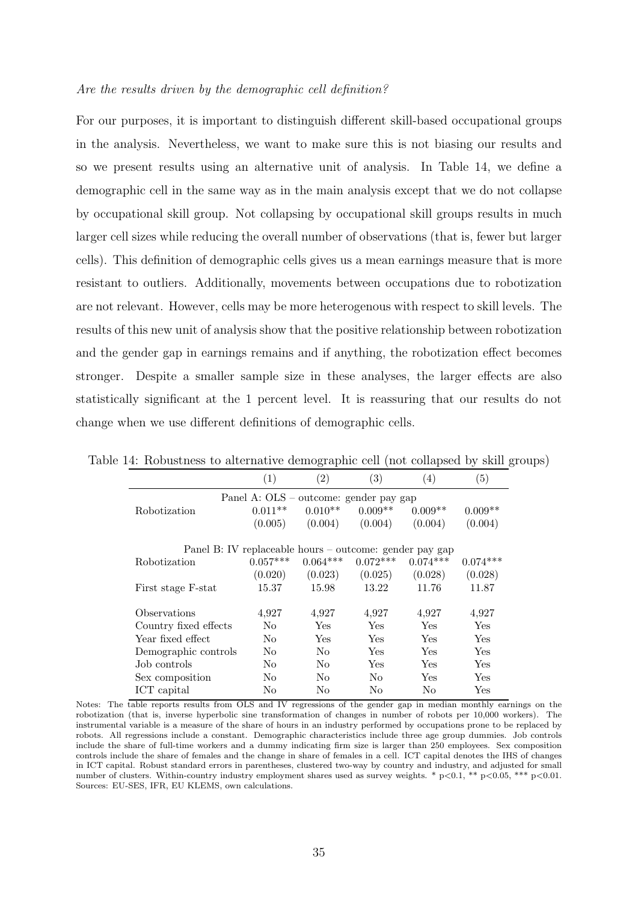#### Are the results driven by the demographic cell definition?

For our purposes, it is important to distinguish different skill-based occupational groups in the analysis. Nevertheless, we want to make sure this is not biasing our results and so we present results using an alternative unit of analysis. In Table 14, we define a demographic cell in the same way as in the main analysis except that we do not collapse by occupational skill group. Not collapsing by occupational skill groups results in much larger cell sizes while reducing the overall number of observations (that is, fewer but larger cells). This definition of demographic cells gives us a mean earnings measure that is more resistant to outliers. Additionally, movements between occupations due to robotization are not relevant. However, cells may be more heterogenous with respect to skill levels. The results of this new unit of analysis show that the positive relationship between robotization and the gender gap in earnings remains and if anything, the robotization effect becomes stronger. Despite a smaller sample size in these analyses, the larger effects are also statistically significant at the 1 percent level. It is reassuring that our results do not change when we use different definitions of demographic cells.

|                                                         |                                        | $\check{ }$<br><b>T</b> |              | ÷.               | $\cdot$              |  |  |  |  |
|---------------------------------------------------------|----------------------------------------|-------------------------|--------------|------------------|----------------------|--|--|--|--|
|                                                         | $\left(1\right)$                       | $\left( 2\right)$       | (3)          | $\left(4\right)$ | (5)                  |  |  |  |  |
|                                                         | Panel A: OLS – outcome: gender pay gap |                         |              |                  |                      |  |  |  |  |
| Robotization                                            | $0.011**$                              | $0.010**$               | $0.009**$    | $0.009**$        | $0.009**$            |  |  |  |  |
|                                                         | (0.005)                                | (0.004)                 | (0.004)      | (0.004)          | (0.004)              |  |  |  |  |
| Panel B: IV replaceable hours – outcome: gender pay gap |                                        |                         |              |                  |                      |  |  |  |  |
| Robotization                                            | $0.057***$                             | $0.064***$              | $0.072***$   | $0.074***$       | $0.074***$           |  |  |  |  |
|                                                         | (0.020)                                | (0.023)                 | (0.025)      | (0.028)          | (0.028)              |  |  |  |  |
| First stage F-stat                                      | 15.37                                  | 15.98                   | 13.22        | 11.76            | 11.87                |  |  |  |  |
| Observations                                            | 4,927                                  | 4,927                   | 4,927        | 4,927            | 4,927                |  |  |  |  |
| Country fixed effects                                   | N <sub>0</sub>                         | Yes                     | Yes          | <b>Yes</b>       | Yes                  |  |  |  |  |
| Year fixed effect                                       | N <sub>0</sub>                         | Yes                     | $_{\rm Yes}$ | Yes              | Yes                  |  |  |  |  |
| Demographic controls                                    | N <sub>0</sub>                         | N <sub>o</sub>          | Yes          | <b>Yes</b>       | Yes                  |  |  |  |  |
| Job controls                                            | No.                                    | No                      | Yes          | Yes              | Yes                  |  |  |  |  |
| Sex composition                                         | N <sub>0</sub>                         | No                      | No           | Yes              | Yes                  |  |  |  |  |
| ICT capital                                             | No                                     | No                      | No           | No               | $\operatorname{Yes}$ |  |  |  |  |

Table 14: Robustness to alternative demographic cell (not collapsed by skill groups)

Notes: The table reports results from OLS and IV regressions of the gender gap in median monthly earnings on the robotization (that is, inverse hyperbolic sine transformation of changes in number of robots per 10,000 workers). The instrumental variable is a measure of the share of hours in an industry performed by occupations prone to be replaced by robots. All regressions include a constant. Demographic characteristics include three age group dummies. Job controls include the share of full-time workers and a dummy indicating firm size is larger than 250 employees. Sex composition controls include the share of females and the change in share of females in a cell. ICT capital denotes the IHS of changes in ICT capital. Robust standard errors in parentheses, clustered two-way by country and industry, and adjusted for small number of clusters. Within-country industry employment shares used as survey weights. \*  $p < 0.1$ , \*\*  $p < 0.05$ , \*\*\*  $p < 0.01$ . Sources: EU-SES, IFR, EU KLEMS, own calculations.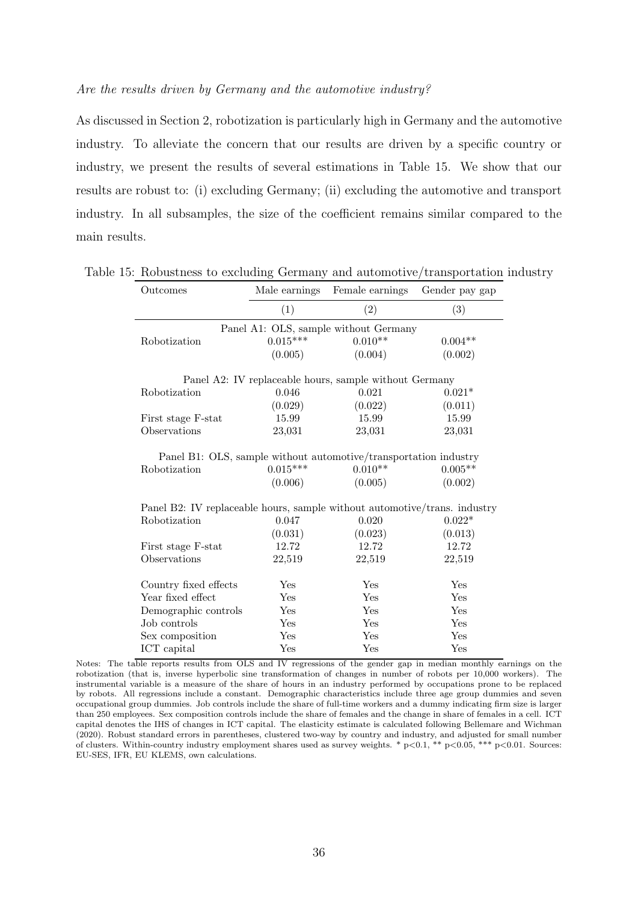#### Are the results driven by Germany and the automotive industry?

As discussed in Section 2, robotization is particularly high in Germany and the automotive industry. To alleviate the concern that our results are driven by a specific country or industry, we present the results of several estimations in Table 15. We show that our results are robust to: (i) excluding Germany; (ii) excluding the automotive and transport industry. In all subsamples, the size of the coefficient remains similar compared to the main results.

| Outcomes                                                                  | Male earnings | Female earnings                                        | Gender pay gap |
|---------------------------------------------------------------------------|---------------|--------------------------------------------------------|----------------|
|                                                                           | (1)           | (2)                                                    | (3)            |
|                                                                           |               | Panel A1: OLS, sample without Germany                  |                |
| Robotization                                                              | $0.015***$    | $0.010**$                                              | $0.004**$      |
|                                                                           | (0.005)       | (0.004)                                                | (0.002)        |
|                                                                           |               | Panel A2: IV replaceable hours, sample without Germany |                |
| Robotization                                                              | 0.046         | 0.021                                                  | $0.021*$       |
|                                                                           | (0.029)       | (0.022)                                                | (0.011)        |
| First stage F-stat                                                        | 15.99         | 15.99                                                  | 15.99          |
| Observations                                                              | 23,031        | 23,031                                                 | 23,031         |
|                                                                           | (0.006)       | (0.005)                                                | (0.002)        |
|                                                                           |               |                                                        |                |
| Panel B2: IV replaceable hours, sample without automotive/trans. industry |               |                                                        |                |
| Robotization                                                              | 0.047         | 0.020                                                  | $0.022*$       |
|                                                                           | (0.031)       | (0.023)                                                | (0.013)        |
| First stage F-stat                                                        | 12.72         | 12.72                                                  | 12.72          |
| Observations                                                              | 22,519        | 22,519                                                 | 22,519         |
| Country fixed effects                                                     | Yes           | Yes                                                    | Yes            |
| Year fixed effect                                                         | Yes           | Yes                                                    | Yes            |
| Demographic controls                                                      | Yes           | Yes                                                    | Yes            |
| Job controls                                                              | Yes           | Yes                                                    | Yes            |
| Sex composition                                                           | Yes           | Yes                                                    | Yes            |
| ICT capital                                                               | Yes           | Yes                                                    | Yes            |

Table 15: Robustness to excluding Germany and automotive/transportation industry

Notes: The table reports results from OLS and IV regressions of the gender gap in median monthly earnings on the robotization (that is, inverse hyperbolic sine transformation of changes in number of robots per 10,000 workers). The instrumental variable is a measure of the share of hours in an industry performed by occupations prone to be replaced by robots. All regressions include a constant. Demographic characteristics include three age group dummies and seven occupational group dummies. Job controls include the share of full-time workers and a dummy indicating firm size is larger than 250 employees. Sex composition controls include the share of females and the change in share of females in a cell. ICT capital denotes the IHS of changes in ICT capital. The elasticity estimate is calculated following Bellemare and Wichman (2020). Robust standard errors in parentheses, clustered two-way by country and industry, and adjusted for small number of clusters. Within-country industry employment shares used as survey weights. \*  $p<0.1$ , \*\*  $p<0.05$ , \*\*\*  $p<0.01$ . Sources: EU-SES, IFR, EU KLEMS, own calculations.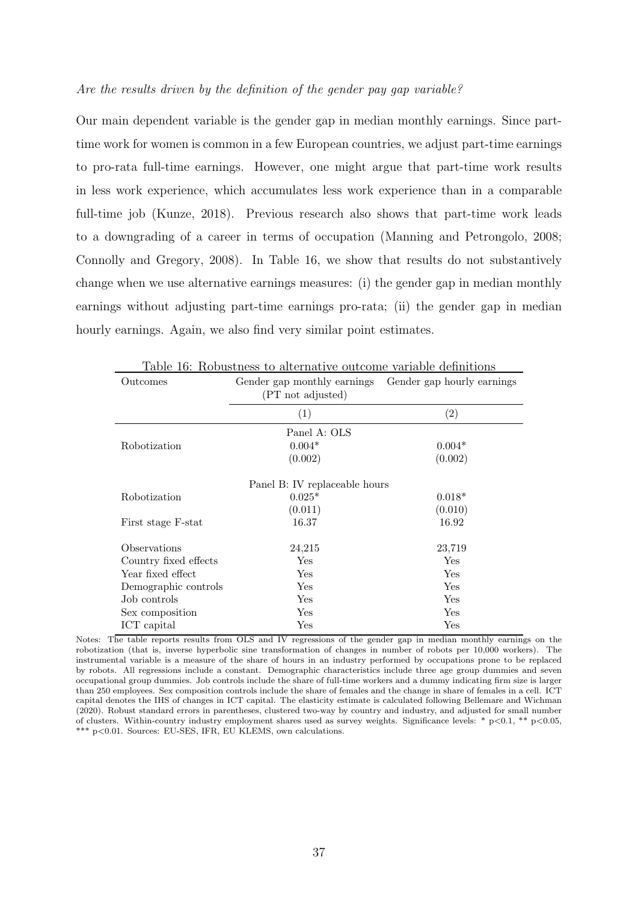#### Are the results driven by the definition of the gender pay gap variable?

Our main dependent variable is the gender gap in median monthly earnings. Since parttime work for women is common in a few European countries, we adjust part-time earnings to pro-rata full-time earnings. However, one might argue that part-time work results in less work experience, which accumulates less work experience than in a comparable full-time job (Kunze, 2018). Previous research also shows that part-time work leads to a downgrading of a career in terms of occupation (Manning and Petrongolo, 2008; Connolly and Gregory, 2008). In Table 16, we show that results do not substantively change when we use alternative earnings measures: (i) the gender gap in median monthly earnings without adjusting part-time earnings pro-rata; (ii) the gender gap in median hourly earnings. Again, we also find very similar point estimates.

| rable to: Robustness to alternative outcome variable definitions |                                                        |                   |  |  |  |  |  |  |  |
|------------------------------------------------------------------|--------------------------------------------------------|-------------------|--|--|--|--|--|--|--|
| Outcomes                                                         | Gender gap monthly earnings Gender gap hourly earnings |                   |  |  |  |  |  |  |  |
|                                                                  | (PT not adjusted)                                      |                   |  |  |  |  |  |  |  |
|                                                                  | (1)                                                    | $\left( 2\right)$ |  |  |  |  |  |  |  |
|                                                                  | Panel A: OLS                                           |                   |  |  |  |  |  |  |  |
| Robotization                                                     | $0.004*$                                               | $0.004*$          |  |  |  |  |  |  |  |
|                                                                  | (0.002)                                                | (0.002)           |  |  |  |  |  |  |  |
| Panel B: IV replaceable hours                                    |                                                        |                   |  |  |  |  |  |  |  |
| Robotization                                                     | $0.025*$                                               | $0.018*$          |  |  |  |  |  |  |  |
|                                                                  | (0.011)                                                | (0.010)           |  |  |  |  |  |  |  |
| First stage F-stat                                               | 16.37                                                  | 16.92             |  |  |  |  |  |  |  |
| Observations                                                     | 24,215                                                 | 23,719            |  |  |  |  |  |  |  |
| Country fixed effects                                            | Yes                                                    | Yes               |  |  |  |  |  |  |  |
| Year fixed effect                                                | Yes                                                    | Yes               |  |  |  |  |  |  |  |
| Demographic controls                                             | Yes                                                    | Yes               |  |  |  |  |  |  |  |
| Job controls                                                     | Yes                                                    | Yes               |  |  |  |  |  |  |  |
| Sex composition                                                  | Yes                                                    | Yes               |  |  |  |  |  |  |  |
| ICT capital                                                      | Yes                                                    | Yes               |  |  |  |  |  |  |  |

Table 16: Robustness to alternative outcome variable definitions

Notes: The table reports results from OLS and IV regressions of the gender gap in median monthly earnings on the robotization (that is, inverse hyperbolic sine transformation of changes in number of robots per 10,000 workers). The instrumental variable is a measure of the share of hours in an industry performed by occupations prone to be replaced by robots. All regressions include a constant. Demographic characteristics include three age group dummies and seven occupational group dummies. Job controls include the share of full-time workers and a dummy indicating firm size is larger than 250 employees. Sex composition controls include the share of females and the change in share of females in a cell. ICT capital denotes the IHS of changes in ICT capital. The elasticity estimate is calculated following Bellemare and Wichman (2020). Robust standard errors in parentheses, clustered two-way by country and industry, and adjusted for small number of clusters. Within-country industry employment shares used as survey weights. Significance levels: \* p<0.1, \*\* p<0.05, \*\*\* p<0.01. Sources: EU-SES, IFR, EU KLEMS, own calculations.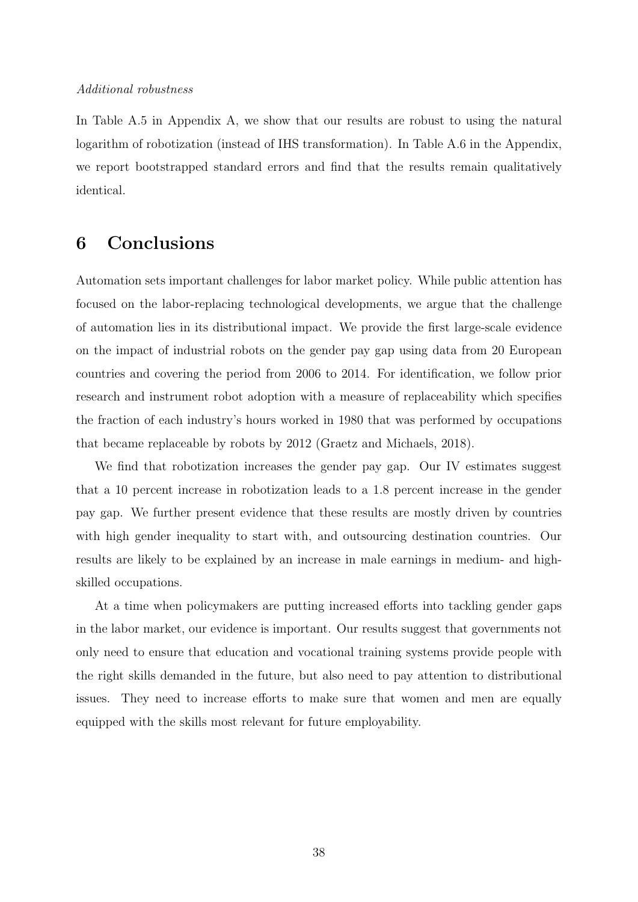#### Additional robustness

In Table A.5 in Appendix A, we show that our results are robust to using the natural logarithm of robotization (instead of IHS transformation). In Table A.6 in the Appendix, we report bootstrapped standard errors and find that the results remain qualitatively identical.

### 6 Conclusions

Automation sets important challenges for labor market policy. While public attention has focused on the labor-replacing technological developments, we argue that the challenge of automation lies in its distributional impact. We provide the first large-scale evidence on the impact of industrial robots on the gender pay gap using data from 20 European countries and covering the period from 2006 to 2014. For identification, we follow prior research and instrument robot adoption with a measure of replaceability which specifies the fraction of each industry's hours worked in 1980 that was performed by occupations that became replaceable by robots by 2012 (Graetz and Michaels, 2018).

We find that robotization increases the gender pay gap. Our IV estimates suggest that a 10 percent increase in robotization leads to a 1.8 percent increase in the gender pay gap. We further present evidence that these results are mostly driven by countries with high gender inequality to start with, and outsourcing destination countries. Our results are likely to be explained by an increase in male earnings in medium- and highskilled occupations.

At a time when policymakers are putting increased efforts into tackling gender gaps in the labor market, our evidence is important. Our results suggest that governments not only need to ensure that education and vocational training systems provide people with the right skills demanded in the future, but also need to pay attention to distributional issues. They need to increase efforts to make sure that women and men are equally equipped with the skills most relevant for future employability.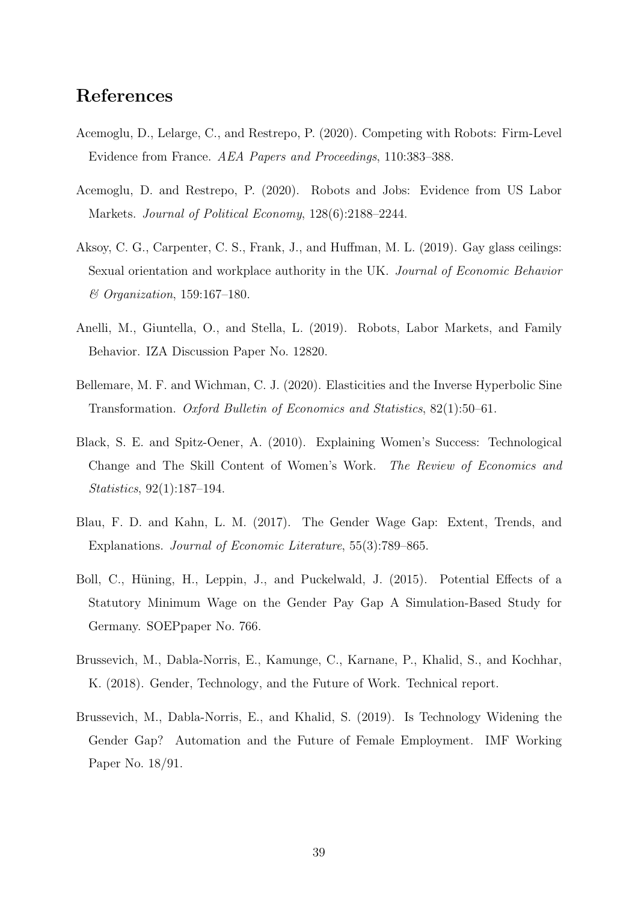### References

- Acemoglu, D., Lelarge, C., and Restrepo, P. (2020). Competing with Robots: Firm-Level Evidence from France. AEA Papers and Proceedings, 110:383–388.
- Acemoglu, D. and Restrepo, P. (2020). Robots and Jobs: Evidence from US Labor Markets. Journal of Political Economy, 128(6):2188–2244.
- Aksoy, C. G., Carpenter, C. S., Frank, J., and Huffman, M. L. (2019). Gay glass ceilings: Sexual orientation and workplace authority in the UK. Journal of Economic Behavior & Organization, 159:167–180.
- Anelli, M., Giuntella, O., and Stella, L. (2019). Robots, Labor Markets, and Family Behavior. IZA Discussion Paper No. 12820.
- Bellemare, M. F. and Wichman, C. J. (2020). Elasticities and the Inverse Hyperbolic Sine Transformation. Oxford Bulletin of Economics and Statistics, 82(1):50–61.
- Black, S. E. and Spitz-Oener, A. (2010). Explaining Women's Success: Technological Change and The Skill Content of Women's Work. The Review of Economics and Statistics, 92(1):187–194.
- Blau, F. D. and Kahn, L. M. (2017). The Gender Wage Gap: Extent, Trends, and Explanations. Journal of Economic Literature, 55(3):789–865.
- Boll, C., Hüning, H., Leppin, J., and Puckelwald, J. (2015). Potential Effects of a Statutory Minimum Wage on the Gender Pay Gap A Simulation-Based Study for Germany. SOEPpaper No. 766.
- Brussevich, M., Dabla-Norris, E., Kamunge, C., Karnane, P., Khalid, S., and Kochhar, K. (2018). Gender, Technology, and the Future of Work. Technical report.
- Brussevich, M., Dabla-Norris, E., and Khalid, S. (2019). Is Technology Widening the Gender Gap? Automation and the Future of Female Employment. IMF Working Paper No. 18/91.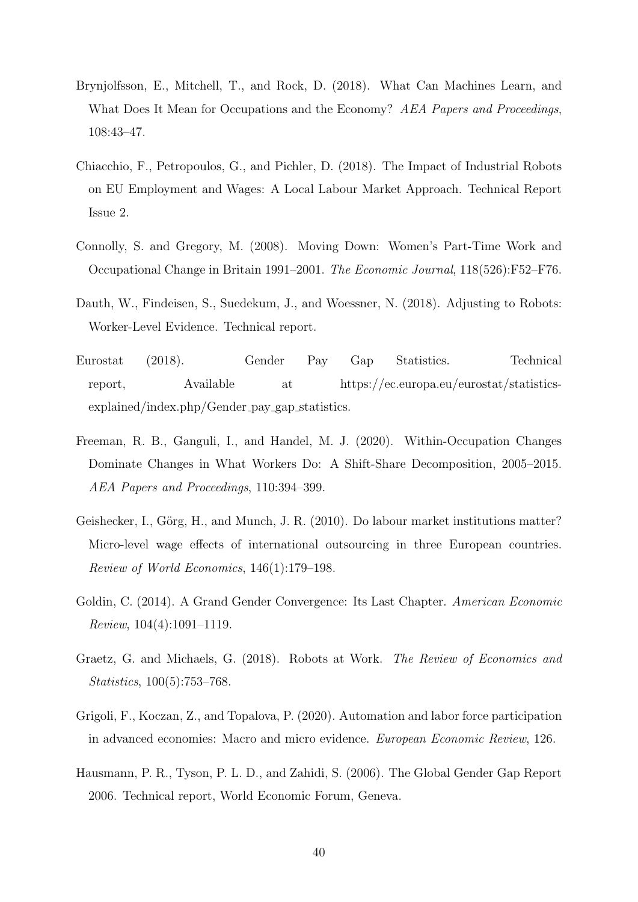- Brynjolfsson, E., Mitchell, T., and Rock, D. (2018). What Can Machines Learn, and What Does It Mean for Occupations and the Economy? AEA Papers and Proceedings, 108:43–47.
- Chiacchio, F., Petropoulos, G., and Pichler, D. (2018). The Impact of Industrial Robots on EU Employment and Wages: A Local Labour Market Approach. Technical Report Issue 2.
- Connolly, S. and Gregory, M. (2008). Moving Down: Women's Part-Time Work and Occupational Change in Britain 1991–2001. The Economic Journal, 118(526):F52–F76.
- Dauth, W., Findeisen, S., Suedekum, J., and Woessner, N. (2018). Adjusting to Robots: Worker-Level Evidence. Technical report.
- Eurostat (2018). Gender Pay Gap Statistics. Technical report, Available at https://ec.europa.eu/eurostat/statisticsexplained/index.php/Gender\_pay\_gap\_statistics.
- Freeman, R. B., Ganguli, I., and Handel, M. J. (2020). Within-Occupation Changes Dominate Changes in What Workers Do: A Shift-Share Decomposition, 2005–2015. AEA Papers and Proceedings, 110:394–399.
- Geishecker, I., Görg, H., and Munch, J. R. (2010). Do labour market institutions matter? Micro-level wage effects of international outsourcing in three European countries. Review of World Economics, 146(1):179–198.
- Goldin, C. (2014). A Grand Gender Convergence: Its Last Chapter. American Economic Review, 104(4):1091–1119.
- Graetz, G. and Michaels, G. (2018). Robots at Work. The Review of Economics and Statistics, 100(5):753–768.
- Grigoli, F., Koczan, Z., and Topalova, P. (2020). Automation and labor force participation in advanced economies: Macro and micro evidence. European Economic Review, 126.
- Hausmann, P. R., Tyson, P. L. D., and Zahidi, S. (2006). The Global Gender Gap Report 2006. Technical report, World Economic Forum, Geneva.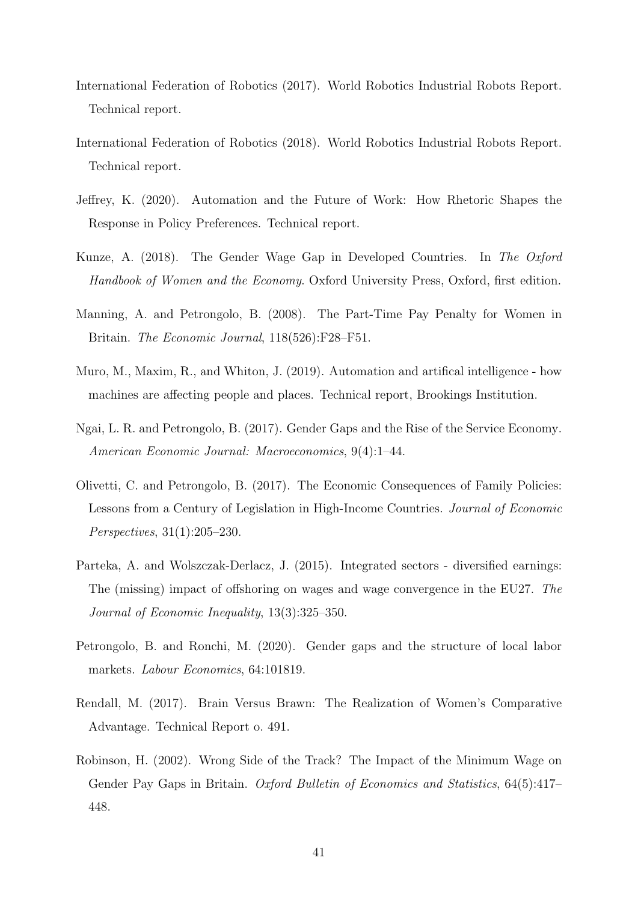- International Federation of Robotics (2017). World Robotics Industrial Robots Report. Technical report.
- International Federation of Robotics (2018). World Robotics Industrial Robots Report. Technical report.
- Jeffrey, K. (2020). Automation and the Future of Work: How Rhetoric Shapes the Response in Policy Preferences. Technical report.
- Kunze, A. (2018). The Gender Wage Gap in Developed Countries. In The Oxford Handbook of Women and the Economy. Oxford University Press, Oxford, first edition.
- Manning, A. and Petrongolo, B. (2008). The Part-Time Pay Penalty for Women in Britain. The Economic Journal, 118(526):F28–F51.
- Muro, M., Maxim, R., and Whiton, J. (2019). Automation and artifical intelligence how machines are affecting people and places. Technical report, Brookings Institution.
- Ngai, L. R. and Petrongolo, B. (2017). Gender Gaps and the Rise of the Service Economy. American Economic Journal: Macroeconomics, 9(4):1–44.
- Olivetti, C. and Petrongolo, B. (2017). The Economic Consequences of Family Policies: Lessons from a Century of Legislation in High-Income Countries. Journal of Economic Perspectives, 31(1):205–230.
- Parteka, A. and Wolszczak-Derlacz, J. (2015). Integrated sectors diversified earnings: The (missing) impact of offshoring on wages and wage convergence in the EU27. The Journal of Economic Inequality, 13(3):325–350.
- Petrongolo, B. and Ronchi, M. (2020). Gender gaps and the structure of local labor markets. *Labour Economics*, 64:101819.
- Rendall, M. (2017). Brain Versus Brawn: The Realization of Women's Comparative Advantage. Technical Report o. 491.
- Robinson, H. (2002). Wrong Side of the Track? The Impact of the Minimum Wage on Gender Pay Gaps in Britain. Oxford Bulletin of Economics and Statistics, 64(5):417– 448.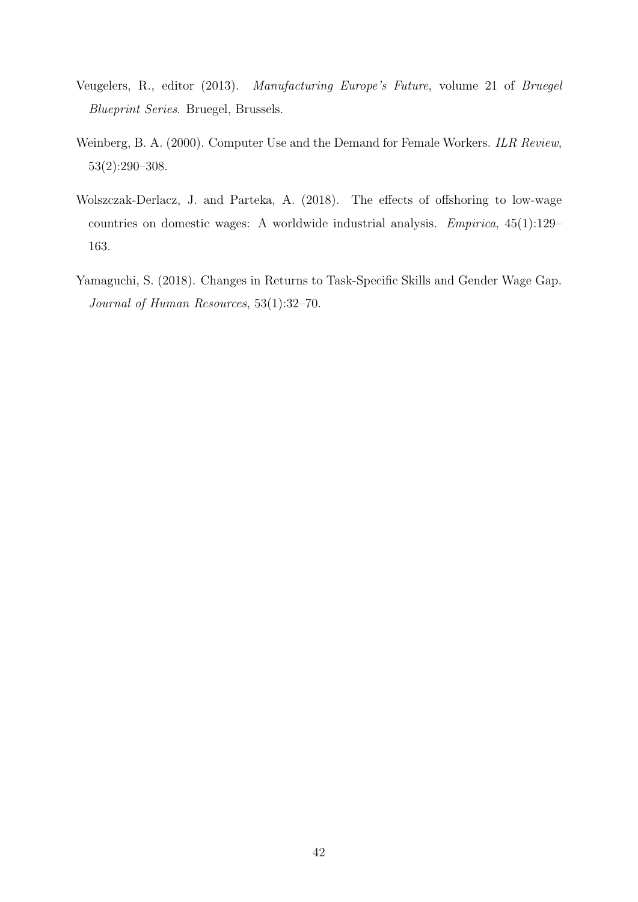- Veugelers, R., editor (2013). Manufacturing Europe's Future, volume 21 of Bruegel Blueprint Series. Bruegel, Brussels.
- Weinberg, B. A. (2000). Computer Use and the Demand for Female Workers. ILR Review, 53(2):290–308.
- Wolszczak-Derlacz, J. and Parteka, A. (2018). The effects of offshoring to low-wage countries on domestic wages: A worldwide industrial analysis. Empirica, 45(1):129– 163.
- Yamaguchi, S. (2018). Changes in Returns to Task-Specific Skills and Gender Wage Gap. Journal of Human Resources, 53(1):32–70.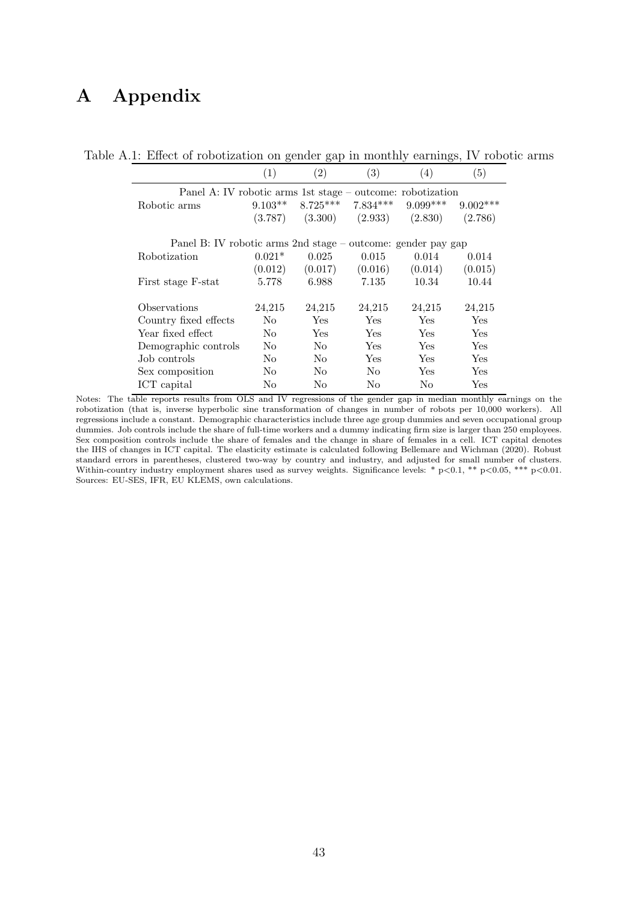# A Appendix

|                                                              | (1)            | $\left( 2\right)$ | (3)        | (4)        | (5)        |  |  |  |  |
|--------------------------------------------------------------|----------------|-------------------|------------|------------|------------|--|--|--|--|
| Panel A: IV robotic arms 1st stage – outcome: robotization   |                |                   |            |            |            |  |  |  |  |
| Robotic arms                                                 | $9.103**$      | $8.725***$        | $7.834***$ | $9.099***$ | $9.002***$ |  |  |  |  |
|                                                              | (3.787)        | (3.300)           | (2.933)    | (2.830)    | (2.786)    |  |  |  |  |
| Panel B: IV robotic arms 2nd stage – outcome: gender pay gap |                |                   |            |            |            |  |  |  |  |
| Robotization                                                 | $0.021*$       | 0.025             | 0.015      | 0.014      | 0.014      |  |  |  |  |
|                                                              | (0.012)        | (0.017)           | (0.016)    | (0.014)    | (0.015)    |  |  |  |  |
| First stage F-stat                                           | 5.778          | 6.988             | 7.135      | 10.34      | 10.44      |  |  |  |  |
| Observations                                                 | 24,215         | 24,215            | 24,215     | 24,215     | 24,215     |  |  |  |  |
| Country fixed effects                                        | $\rm No$       | Yes               | Yes        | Yes        | Yes        |  |  |  |  |
| Year fixed effect                                            | N <sub>0</sub> | <b>Yes</b>        | <b>Yes</b> | Yes        | Yes        |  |  |  |  |
| Demographic controls                                         | N <sub>0</sub> | No                | <b>Yes</b> | Yes        | Yes        |  |  |  |  |
| Job controls                                                 | $\rm No$       | N <sub>o</sub>    | Yes        | Yes        | Yes        |  |  |  |  |
| Sex composition                                              | No             | No                | No.        | Yes        | Yes        |  |  |  |  |
| ICT capital                                                  | No             | No                | No         | No         | Yes        |  |  |  |  |

Table A.1: Effect of robotization on gender gap in monthly earnings, IV robotic arms

Notes: The table reports results from OLS and IV regressions of the gender gap in median monthly earnings on the robotization (that is, inverse hyperbolic sine transformation of changes in number of robots per 10,000 workers). All regressions include a constant. Demographic characteristics include three age group dummies and seven occupational group dummies. Job controls include the share of full-time workers and a dummy indicating firm size is larger than 250 employees. Sex composition controls include the share of females and the change in share of females in a cell. ICT capital denotes the IHS of changes in ICT capital. The elasticity estimate is calculated following Bellemare and Wichman (2020). Robust standard errors in parentheses, clustered two-way by country and industry, and adjusted for small number of clusters. Within-country industry employment shares used as survey weights. Significance levels: \* p<0.1, \*\* p<0.05, \*\*\* p<0.01. Sources: EU-SES, IFR, EU KLEMS, own calculations.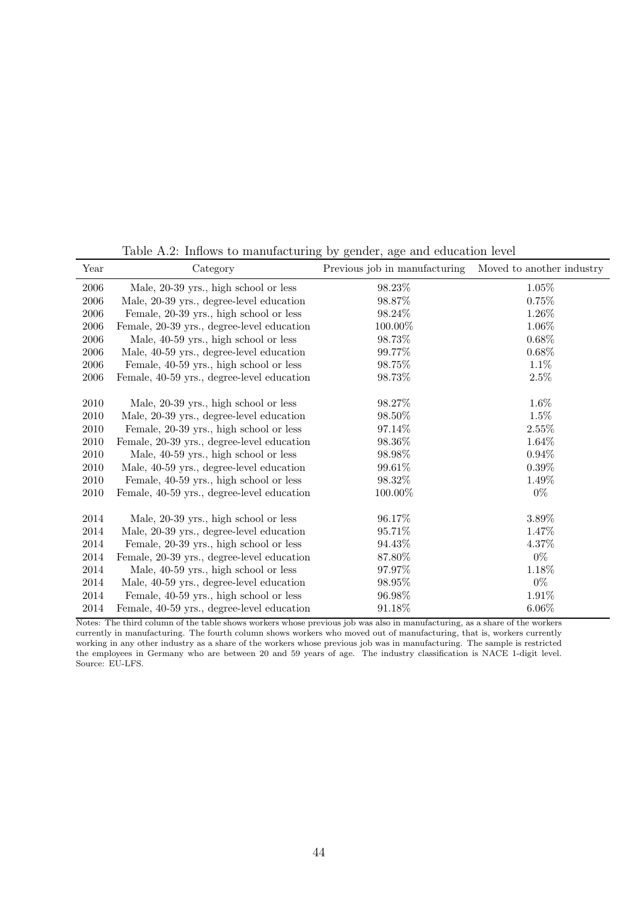| Year       | Category                                   | Previous job in manufacturing | Moved to another industry |
|------------|--------------------------------------------|-------------------------------|---------------------------|
| $\,2006\,$ | Male, 20-39 yrs., high school or less      | 98.23%                        | 1.05%                     |
| $\,2006\,$ | Male, 20-39 yrs., degree-level education   | 98.87%                        | 0.75%                     |
| 2006       | Female, 20-39 yrs., high school or less    | 98.24%                        | 1.26%                     |
| $\,2006\,$ | Female, 20-39 yrs., degree-level education | 100.00%                       | 1.06%                     |
| 2006       | Male, 40-59 yrs., high school or less      | 98.73%                        | $0.68\%$                  |
| 2006       | Male, 40-59 yrs., degree-level education   | 99.77\%                       | $0.68\%$                  |
| $\,2006\,$ | Female, 40-59 yrs., high school or less    | 98.75%                        | 1.1%                      |
| 2006       | Female, 40-59 yrs., degree-level education | 98.73%                        | 2.5%                      |
| $2010\,$   | Male, 20-39 yrs., high school or less      | 98.27%                        | 1.6%                      |
| 2010       | Male, 20-39 yrs., degree-level education   | 98.50%                        | 1.5%                      |
| 2010       | Female, 20-39 yrs., high school or less    | 97.14%                        | 2.55%                     |
| $2010\,$   | Female, 20-39 yrs., degree-level education | 98.36%                        | 1.64%                     |
| 2010       | Male, 40-59 yrs., high school or less      | 98.98%                        | 0.94%                     |
| 2010       | Male, 40-59 yrs., degree-level education   | 99.61%                        | $0.39\%$                  |
| $2010\,$   | Female, 40-59 yrs., high school or less    | 98.32%                        | 1.49%                     |
| 2010       | Female, 40-59 yrs., degree-level education | 100.00%                       | $0\%$                     |
| 2014       | Male, 20-39 yrs., high school or less      | 96.17%                        | 3.89%                     |
| 2014       | Male, 20-39 yrs., degree-level education   | 95.71%                        | 1.47%                     |
| 2014       | Female, 20-39 yrs., high school or less    | 94.43%                        | 4.37%                     |
| $\,2014$   | Female, 20-39 yrs., degree-level education | 87.80%                        | $0\%$                     |
| 2014       | Male, 40-59 yrs., high school or less      | 97.97%                        | 1.18%                     |
| 2014       | Male, 40-59 yrs., degree-level education   | 98.95%                        | $0\%$                     |
| 2014       | Female, 40-59 yrs., high school or less    | 96.98%                        | 1.91%                     |
| 2014       | Female, 40-59 yrs., degree-level education | 91.18%                        | $6.06\%$                  |

Table A.2: Inflows to manufacturing by gender, age and education level

Notes: The third column of the table shows workers whose previous job was also in manufacturing, as a share of the workers currently in manufacturing. The fourth column shows workers who moved out of manufacturing, that is, workers currently working in any other industry as a share of the workers whose previous job was in manufacturing. The sample is restricted the employees in Germany who are between 20 and 59 years of age. The industry classification is NACE 1-digit level. Source: EU-LFS.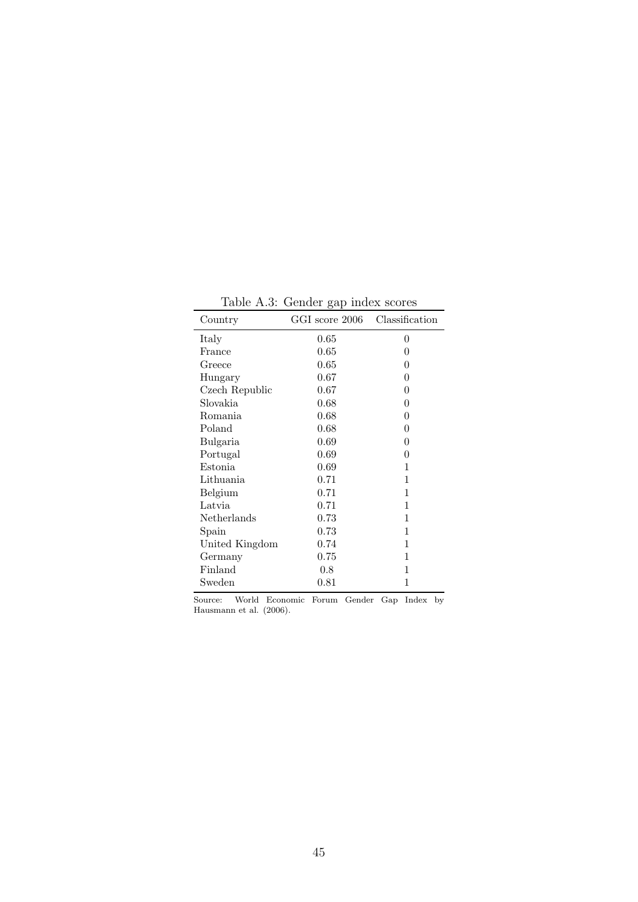| Country        | GGI score 2006 | Classification |
|----------------|----------------|----------------|
| Italy          | $0.65\,$       | 0              |
| France         | $0.65\,$       | 0              |
| Greece         | 0.65           | 0              |
| Hungary        | 0.67           | $\overline{0}$ |
| Czech Republic | 0.67           | $\overline{0}$ |
| Slovakia       | 0.68           | 0              |
| Romania        | 0.68           | 0              |
| Poland         | 0.68           | 0              |
| Bulgaria       | 0.69           | 0              |
| Portugal       | 0.69           | 0              |
| Estonia        | 0.69           | 1              |
| Lithuania      | 0.71           | 1              |
| Belgium        | 0.71           | 1              |
| Latvia         | 0.71           | 1              |
| Netherlands    | 0.73           | 1              |
| Spain          | 0.73           | 1              |
| United Kingdom | 0.74           | 1              |
| Germany        | 0.75           | 1              |
| Finland        | $0.8\,$        | 1              |
| Sweden         | 0.81           | 1              |

Table A.3: Gender gap index scores

Source: World Economic Forum Gender Gap Index by Hausmann et al. (2006).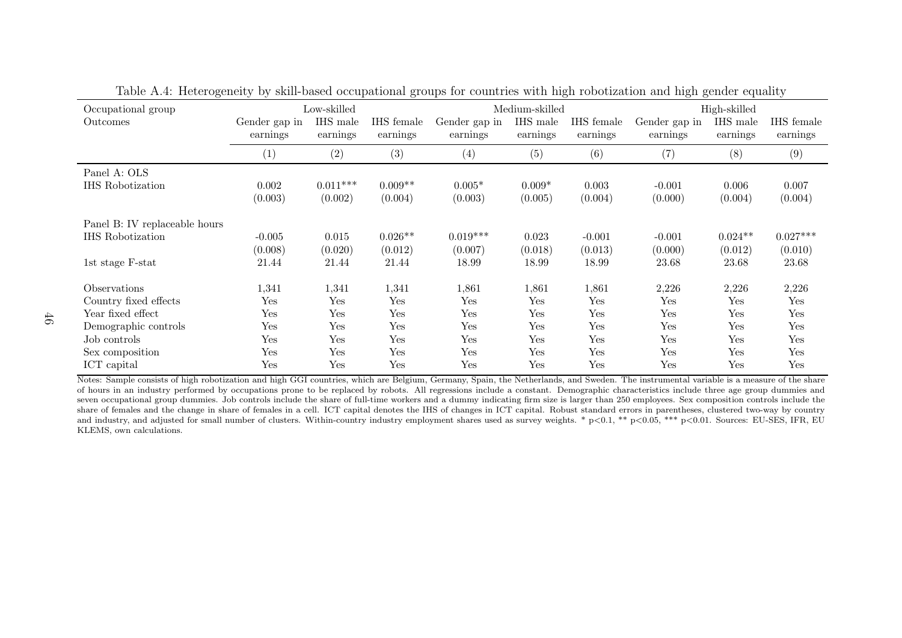| $\cup$<br>Occupational group  | ั∙            | Low-skilled | <u>C</u>   |               | Medium-skilled | $\cup$     | $\circ$<br>$\circ$ | High-skilled |            |
|-------------------------------|---------------|-------------|------------|---------------|----------------|------------|--------------------|--------------|------------|
| Outcomes                      | Gender gap in | IHS male    | IHS female | Gender gap in | IHS male       | IHS female | Gender gap in      | IHS male     | IHS female |
|                               | earnings      | earnings    | earnings   | earnings      | earnings       | earnings   | earnings           | earnings     | earnings   |
|                               | (1)           | (2)         | (3)        | (4)           | (5)            | (6)        | (7)                | (8)          | (9)        |
| Panel A: OLS                  |               |             |            |               |                |            |                    |              |            |
| <b>IHS</b> Robotization       | 0.002         | $0.011***$  | $0.009**$  | $0.005*$      | $0.009*$       | 0.003      | $-0.001$           | 0.006        | 0.007      |
|                               | (0.003)       | (0.002)     | (0.004)    | (0.003)       | (0.005)        | (0.004)    | (0.000)            | (0.004)      | (0.004)    |
| Panel B: IV replaceable hours |               |             |            |               |                |            |                    |              |            |
| <b>IHS</b> Robotization       | $-0.005$      | 0.015       | $0.026**$  | $0.019***$    | 0.023          | $-0.001$   | $-0.001$           | $0.024**$    | $0.027***$ |
|                               | (0.008)       | (0.020)     | (0.012)    | (0.007)       | (0.018)        | (0.013)    | (0.000)            | (0.012)      | (0.010)    |
| 1st stage F-stat              | 21.44         | 21.44       | 21.44      | 18.99         | 18.99          | 18.99      | 23.68              | 23.68        | 23.68      |
| Observations                  | 1,341         | 1,341       | 1,341      | 1,861         | 1,861          | 1,861      | 2,226              | 2,226        | 2,226      |
| Country fixed effects         | Yes           | Yes         | Yes        | Yes           | Yes            | Yes        | Yes                | Yes          | Yes        |
| Year fixed effect             | Yes           | Yes         | Yes        | Yes           | Yes            | Yes        | Yes                | Yes          | Yes        |
| Demographic controls          | Yes           | Yes         | Yes        | Yes           | Yes            | Yes        | Yes                | Yes          | Yes        |
| Job controls                  | Yes           | Yes         | Yes        | Yes           | Yes            | Yes        | Yes                | Yes          | Yes        |
| Sex composition               | Yes           | Yes         | Yes        | Yes           | Yes            | Yes        | Yes                | Yes          | Yes        |
| ICT capital                   | Yes           | Yes         | Yes        | Yes           | Yes            | Yes        | Yes                | Yes          | Yes        |

Table A.4: Heterogeneity by skill-based occupational groups for countries with high robotization and high gender equality

Notes: Sample consists of high robotization and high GGI countries, which are Belgium, Germany, Spain, the Netherlands, and Sweden. The instrumental variable is a measure of the share of hours in an industry performed by occupations prone to be replaced by robots. All regressions include <sup>a</sup> constant. Demographic characteristics include three age group dummies and seven occupational group dummies. Job controls include the share of full-time workers and <sup>a</sup> dummy indicating firm size is larger than 250 employees. Sex composition controls include the share of females and the change in share of females in <sup>a</sup> cell. ICT capital denotes the IHS of changes in ICT capital. Robust standard errors in parentheses, clustered two-way by countryand industry, and adjusted for small number of clusters. Within-country industry employment shares used as survey weights. \* p<0.1, \*\* p<0.05, \*\*\* p<0.01. Sources: EU-SES, IFR, EU KLEMS, own calculations.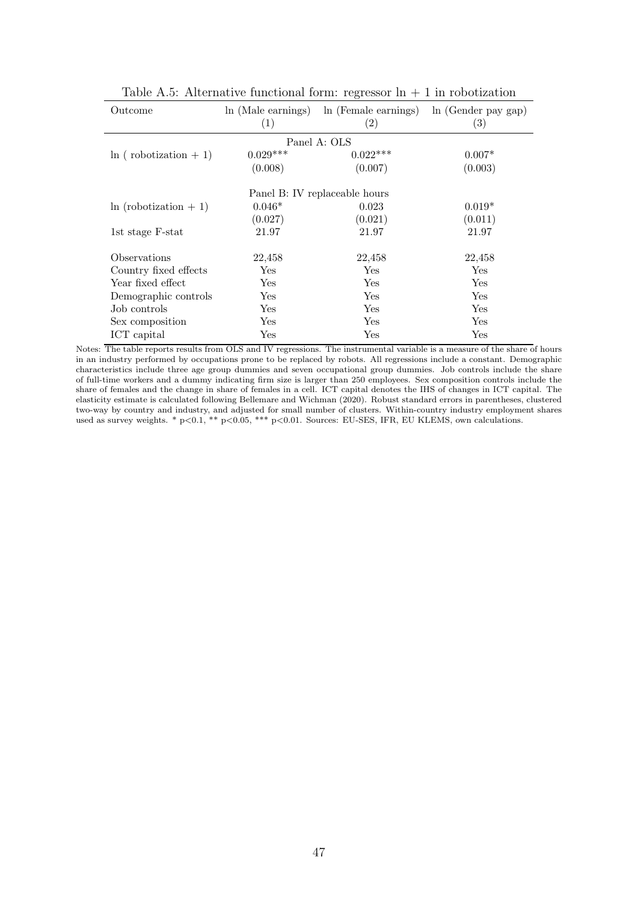| Outcome                    | ln (Male earnings)   | In (Female earnings)          | ln (Gender pay gap) |
|----------------------------|----------------------|-------------------------------|---------------------|
|                            | (1)                  | (2)                           | $\left( 3\right)$   |
|                            |                      | Panel A: OLS                  |                     |
| $\ln$ (robotization + 1)   | $0.029***$           | $0.022***$                    | $0.007*$            |
|                            | (0.008)              | (0.007)                       | (0.003)             |
|                            |                      | Panel B: IV replaceable hours |                     |
|                            |                      |                               |                     |
| $\ln$ (robotization $+1$ ) | $0.046*$             | 0.023                         | $0.019*$            |
|                            | (0.027)              | (0.021)                       | (0.011)             |
| 1st stage F-stat           | 21.97                | 21.97                         | 21.97               |
| Observations               | 22,458               | 22,458                        | 22,458              |
| Country fixed effects      | Yes                  | Yes                           | Yes                 |
| Year fixed effect          | Yes                  | Yes                           | Yes                 |
| Demographic controls       | Yes                  | Yes                           | Yes                 |
| Job controls               | Yes                  | Yes                           | Yes                 |
| Sex composition            | $\operatorname{Yes}$ | Yes                           | Yes                 |
| ICT capital                | Yes                  | Yes                           | Yes                 |

Table A.5: Alternative functional form: regressor  $\ln + 1$  in robotization

Notes: The table reports results from OLS and IV regressions. The instrumental variable is a measure of the share of hours in an industry performed by occupations prone to be replaced by robots. All regressions include a constant. Demographic characteristics include three age group dummies and seven occupational group dummies. Job controls include the share of full-time workers and a dummy indicating firm size is larger than 250 employees. Sex composition controls include the share of females and the change in share of females in a cell. ICT capital denotes the IHS of changes in ICT capital. The elasticity estimate is calculated following Bellemare and Wichman (2020). Robust standard errors in parentheses, clustered two-way by country and industry, and adjusted for small number of clusters. Within-country industry employment shares used as survey weights. \*  $p<0.1$ , \*\*  $p<0.05$ , \*\*\*  $p<0.01$ . Sources: EU-SES, IFR, EU KLEMS, own calculations.